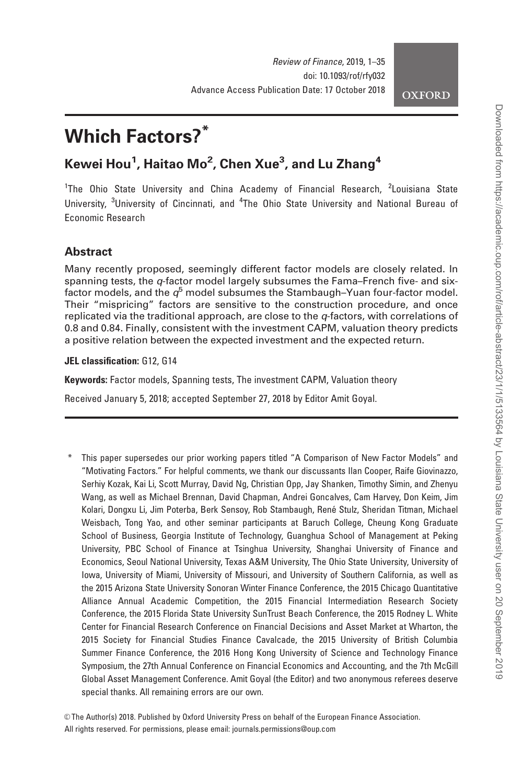**OXFORD** 

# Which Factors?\*

# Kewei Hou $^1$ , Haitao Mo $^2$ , Chen Xue $^3$ , and Lu Zhang $^4$

<sup>1</sup>The Ohio State University and China Academy of Financial Research, <sup>2</sup>Louisiana State University, <sup>3</sup>University of Cincinnati, and <sup>4</sup>The Ohio State University and National Bureau of Economic Research

# **Abstract**

Many recently proposed, seemingly different factor models are closely related. In spanning tests, the q-factor model largely subsumes the Fama–French five- and sixfactor models, and the  $q^5$  model subsumes the Stambaugh–Yuan four-factor model. Their "mispricing" factors are sensitive to the construction procedure, and once replicated via the traditional approach, are close to the  $q$ -factors, with correlations of 0.8 and 0.84. Finally, consistent with the investment CAPM, valuation theory predicts a positive relation between the expected investment and the expected return.

JEL classification: G12, G14

Keywords: Factor models, Spanning tests, The investment CAPM, Valuation theory

Received January 5, 2018; accepted September 27, 2018 by Editor Amit Goyal.

This paper supersedes our prior working papers titled "A Comparison of New Factor Models" and "Motivating Factors." For helpful comments, we thank our discussants Ilan Cooper, Raife Giovinazzo, Serhiy Kozak, Kai Li, Scott Murray, David Ng, Christian Opp, Jay Shanken, Timothy Simin, and Zhenyu Wang, as well as Michael Brennan, David Chapman, Andrei Goncalves, Cam Harvey, Don Keim, Jim Kolari, Dongxu Li, Jim Poterba, Berk Sensoy, Rob Stambaugh, René Stulz, Sheridan Titman, Michael Weisbach, Tong Yao, and other seminar participants at Baruch College, Cheung Kong Graduate School of Business, Georgia Institute of Technology, Guanghua School of Management at Peking University, PBC School of Finance at Tsinghua University, Shanghai University of Finance and Economics, Seoul National University, Texas A&M University, The Ohio State University, University of Iowa, University of Miami, University of Missouri, and University of Southern California, as well as the 2015 Arizona State University Sonoran Winter Finance Conference, the 2015 Chicago Quantitative Alliance Annual Academic Competition, the 2015 Financial Intermediation Research Society Conference, the 2015 Florida State University SunTrust Beach Conference, the 2015 Rodney L. White Center for Financial Research Conference on Financial Decisions and Asset Market at Wharton, the 2015 Society for Financial Studies Finance Cavalcade, the 2015 University of British Columbia Summer Finance Conference, the 2016 Hong Kong University of Science and Technology Finance Symposium, the 27th Annual Conference on Financial Economics and Accounting, and the 7th McGill Global Asset Management Conference. Amit Goyal (the Editor) and two anonymous referees deserve special thanks. All remaining errors are our own.

© The Author(s) 2018. Published by Oxford University Press on behalf of the European Finance Association. All rights reserved. For permissions, please email: journals.permissions@oup.com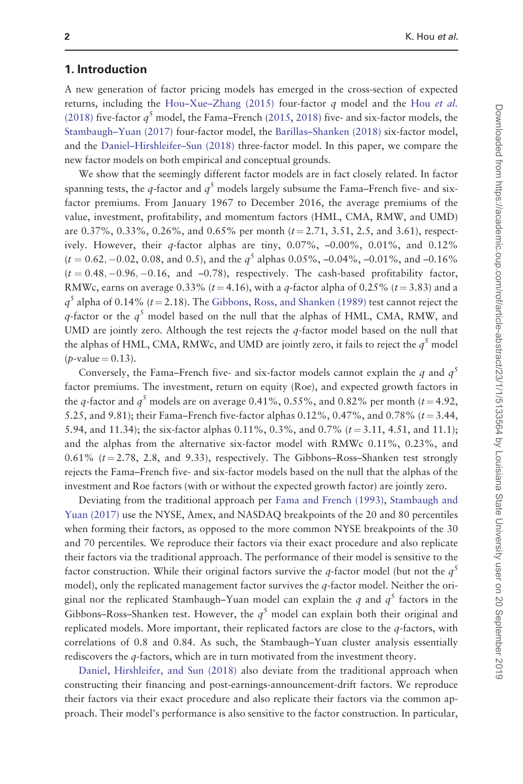# 1. Introduction

A new generation of factor pricing models has emerged in the cross-section of expected returns, including the Hou–Xue–Zhang  $(2015)$  four-factor q model and the Hou [et al.](#page-33-0) [\(2018\)](#page-33-0) five-factor  $\sigma^5$  model, the Fama–French [\(2015,](#page-33-0) [2018](#page-33-0)) five- and six-factor models, the [Stambaugh–Yuan \(2017\)](#page-34-0) four-factor model, the [Barillas–Shanken \(2018\)](#page-32-0) six-factor model, and the [Daniel–Hirshleifer–Sun \(2018\)](#page-32-0) three-factor model. In this paper, we compare the new factor models on both empirical and conceptual grounds.

We show that the seemingly different factor models are in fact closely related. In factor spanning tests, the q-factor and  $q^5$  models largely subsume the Fama–French five- and sixfactor premiums. From January 1967 to December 2016, the average premiums of the value, investment, profitability, and momentum factors (HML, CMA, RMW, and UMD) are 0.37%, 0.33%, 0.26%, and 0.65% per month  $(t = 2.71, 3.51, 2.5,$  and 3.61), respectively. However, their q-factor alphas are tiny, 0.07%, –0.00%, 0.01%, and 0.12%  $(t = 0.62, -0.02, 0.08, \text{ and } 0.5)$ , and the  $q^5$  alphas 0.05%, -0.04%, -0.01%, and -0.16%  $(t = 0.48, -0.96, -0.16, \text{ and } -0.78)$ , respectively. The cash-based profitability factor, RMWc, earns on average 0.33% ( $t = 4.16$ ), with a q-factor alpha of 0.25% ( $t = 3.83$ ) and a  $q^5$  alpha of 0.14% ( $t = 2.18$ ). The [Gibbons, Ross, and Shanken \(1989\)](#page-33-0) test cannot reject the q-factor or the  $q^5$  model based on the null that the alphas of HML, CMA, RMW, and UMD are jointly zero. Although the test rejects the  $q$ -factor model based on the null that the alphas of HML, CMA, RMWc, and UMD are jointly zero, it fails to reject the  $q^5$  model (*p*-value = 0.13).

Conversely, the Fama–French five- and six-factor models cannot explain the q and  $q^5$ factor premiums. The investment, return on equity (Roe), and expected growth factors in the q-factor and  $q^5$  models are on average 0.41%, 0.55%, and 0.82% per month ( $t = 4.92$ , 5.25, and 9.81); their Fama–French five-factor alphas 0.12%, 0.47%, and 0.78% ( $t = 3.44$ , 5.94, and 11.34); the six-factor alphas 0.11%, 0.3%, and 0.7%  $(t = 3.11, 4.51, \text{ and } 11.1)$ ; and the alphas from the alternative six-factor model with RMWc 0.11%, 0.23%, and  $0.61\%$  ( $t = 2.78$ , 2.8, and 9.33), respectively. The Gibbons–Ross–Shanken test strongly rejects the Fama–French five- and six-factor models based on the null that the alphas of the investment and Roe factors (with or without the expected growth factor) are jointly zero.

Deviating from the traditional approach per [Fama and French \(1993\),](#page-33-0) [Stambaugh and](#page-34-0) [Yuan \(2017\)](#page-34-0) use the NYSE, Amex, and NASDAQ breakpoints of the 20 and 80 percentiles when forming their factors, as opposed to the more common NYSE breakpoints of the 30 and 70 percentiles. We reproduce their factors via their exact procedure and also replicate their factors via the traditional approach. The performance of their model is sensitive to the factor construction. While their original factors survive the q-factor model (but not the  $q<sup>5</sup>$ model), only the replicated management factor survives the  $q$ -factor model. Neither the original nor the replicated Stambaugh–Yuan model can explain the q and  $q^5$  factors in the Gibbons–Ross–Shanken test. However, the  $q<sup>5</sup>$  model can explain both their original and replicated models. More important, their replicated factors are close to the  $q$ -factors, with correlations of 0.8 and 0.84. As such, the Stambaugh–Yuan cluster analysis essentially rediscovers the  $q$ -factors, which are in turn motivated from the investment theory.

[Daniel, Hirshleifer, and Sun \(2018\)](#page-32-0) also deviate from the traditional approach when constructing their financing and post-earnings-announcement-drift factors. We reproduce their factors via their exact procedure and also replicate their factors via the common approach. Their model's performance is also sensitive to the factor construction. In particular,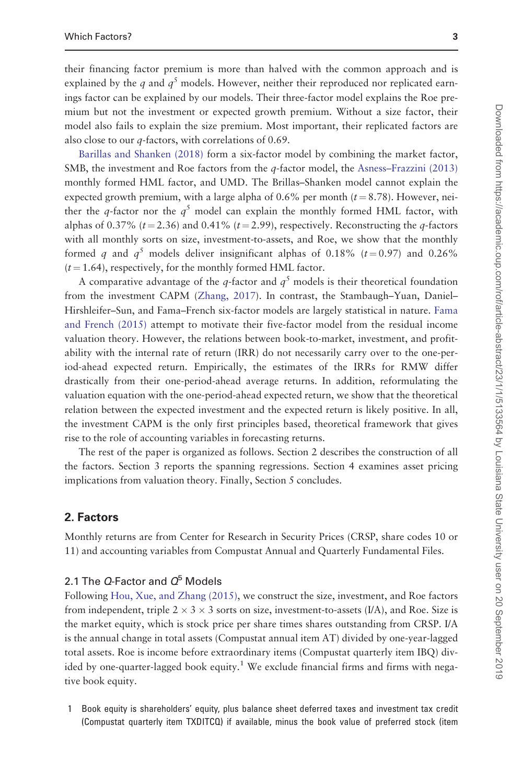their financing factor premium is more than halved with the common approach and is explained by the q and  $q^5$  models. However, neither their reproduced nor replicated earnings factor can be explained by our models. Their three-factor model explains the Roe premium but not the investment or expected growth premium. Without a size factor, their model also fails to explain the size premium. Most important, their replicated factors are also close to our q-factors, with correlations of 0.69.

[Barillas and Shanken \(2018\)](#page-32-0) form a six-factor model by combining the market factor, SMB, the investment and Roe factors from the  $q$ -factor model, the [Asness–Frazzini \(2013\)](#page-32-0) monthly formed HML factor, and UMD. The Brillas–Shanken model cannot explain the expected growth premium, with a large alpha of 0.6% per month ( $t = 8.78$ ). However, neither the q-factor nor the  $q^5$  model can explain the monthly formed HML factor, with alphas of 0.37% ( $t = 2.36$ ) and 0.41% ( $t = 2.99$ ), respectively. Reconstructing the q-factors with all monthly sorts on size, investment-to-assets, and Roe, we show that the monthly formed q and  $q^5$  models deliver insignificant alphas of 0.18% (t=0.97) and 0.26%  $(t = 1.64)$ , respectively, for the monthly formed HML factor.

A comparative advantage of the *q*-factor and  $q<sup>5</sup>$  models is their theoretical foundation from the investment CAPM [\(Zhang, 2017](#page-34-0)). In contrast, the Stambaugh–Yuan, Daniel– Hirshleifer–Sun, and Fama–French six-factor models are largely statistical in nature. [Fama](#page-33-0) [and French \(2015\)](#page-33-0) attempt to motivate their five-factor model from the residual income valuation theory. However, the relations between book-to-market, investment, and profitability with the internal rate of return (IRR) do not necessarily carry over to the one-period-ahead expected return. Empirically, the estimates of the IRRs for RMW differ drastically from their one-period-ahead average returns. In addition, reformulating the valuation equation with the one-period-ahead expected return, we show that the theoretical relation between the expected investment and the expected return is likely positive. In all, the investment CAPM is the only first principles based, theoretical framework that gives rise to the role of accounting variables in forecasting returns.

The rest of the paper is organized as follows. Section 2 describes the construction of all the factors. Section 3 reports the spanning regressions. Section 4 examines asset pricing implications from valuation theory. Finally, Section 5 concludes.

# 2. Factors

Monthly returns are from Center for Research in Security Prices (CRSP, share codes 10 or 11) and accounting variables from Compustat Annual and Quarterly Fundamental Files.

### 2.1 The Q-Factor and  $Q^5$  Models

Following [Hou, Xue, and Zhang \(2015\),](#page-33-0) we construct the size, investment, and Roe factors from independent, triple  $2 \times 3 \times 3$  sorts on size, investment-to-assets (I/A), and Roe. Size is the market equity, which is stock price per share times shares outstanding from CRSP. I/A is the annual change in total assets (Compustat annual item AT) divided by one-year-lagged total assets. Roe is income before extraordinary items (Compustat quarterly item IBQ) divided by one-quarter-lagged book equity.<sup>1</sup> We exclude financial firms and firms with negative book equity.

1 Book equity is shareholders' equity, plus balance sheet deferred taxes and investment tax credit (Compustat quarterly item TXDITCQ) if available, minus the book value of preferred stock (item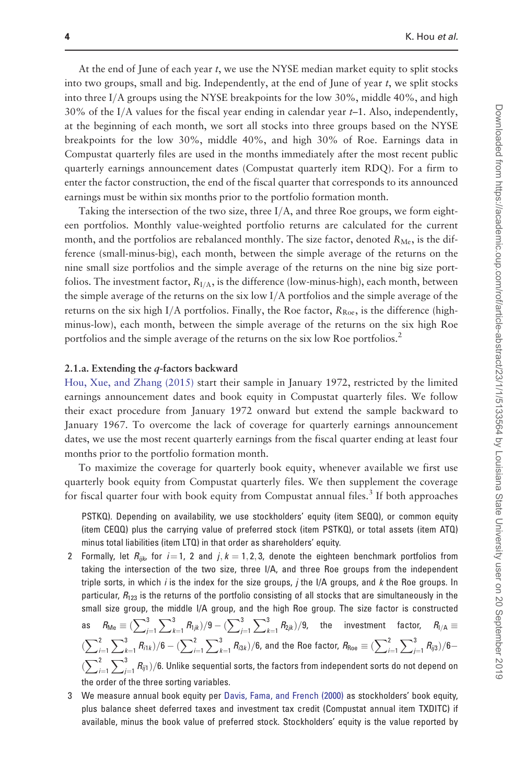At the end of June of each year  $t$ , we use the NYSE median market equity to split stocks into two groups, small and big. Independently, at the end of June of year  $t$ , we split stocks into three I/A groups using the NYSE breakpoints for the low 30%, middle 40%, and high 30% of the I/A values for the fiscal year ending in calendar year  $t-1$ . Also, independently, at the beginning of each month, we sort all stocks into three groups based on the NYSE breakpoints for the low 30%, middle 40%, and high 30% of Roe. Earnings data in Compustat quarterly files are used in the months immediately after the most recent public quarterly earnings announcement dates (Compustat quarterly item RDQ). For a firm to enter the factor construction, the end of the fiscal quarter that corresponds to its announced earnings must be within six months prior to the portfolio formation month.

Taking the intersection of the two size, three  $I/A$ , and three Roe groups, we form eighteen portfolios. Monthly value-weighted portfolio returns are calculated for the current month, and the portfolios are rebalanced monthly. The size factor, denoted  $R_{\text{Me}}$ , is the difference (small-minus-big), each month, between the simple average of the returns on the nine small size portfolios and the simple average of the returns on the nine big size portfolios. The investment factor,  $R_{I/A}$ , is the difference (low-minus-high), each month, between the simple average of the returns on the six low  $I/A$  portfolios and the simple average of the returns on the six high I/A portfolios. Finally, the Roe factor,  $R_{Roe}$ , is the difference (highminus-low), each month, between the simple average of the returns on the six high Roe portfolios and the simple average of the returns on the six low Roe portfolios.<sup>2</sup>

#### 2.1.a. Extending the q-factors backward

[Hou, Xue, and Zhang \(2015\)](#page-33-0) start their sample in January 1972, restricted by the limited earnings announcement dates and book equity in Compustat quarterly files. We follow their exact procedure from January 1972 onward but extend the sample backward to January 1967. To overcome the lack of coverage for quarterly earnings announcement dates, we use the most recent quarterly earnings from the fiscal quarter ending at least four months prior to the portfolio formation month.

To maximize the coverage for quarterly book equity, whenever available we first use quarterly book equity from Compustat quarterly files. We then supplement the coverage for fiscal quarter four with book equity from Compustat annual files.<sup>3</sup> If both approaches

PSTKQ). Depending on availability, we use stockholders' equity (item SEQQ), or common equity (item CEQQ) plus the carrying value of preferred stock (item PSTKQ), or total assets (item ATQ) minus total liabilities (item LTQ) in that order as shareholders' equity.

- 2 Formally, let  $R_{iik}$  for  $i = 1, 2$  and  $j, k = 1, 2, 3$ , denote the eighteen benchmark portfolios from taking the intersection of the two size, three I/A, and three Roe groups from the independent triple sorts, in which  $i$  is the index for the size groups,  $j$  the I/A groups, and  $k$  the Roe groups. In particular,  $R_{123}$  is the returns of the portfolio consisting of all stocks that are simultaneously in the small size group, the middle I/A group, and the high Roe group. The size factor is constructed as  $R_{\text{Me}} \equiv (\sum_{j=1}^3$  $\sum_{k=1}^{3} R_{1jk}$  $/9 - (\sum_{j=1}^{3}$  $\sum_{k=1}^3 R_{2jk})/9$ , the investment factor,  $R_{1/A} \equiv$  $(\sum_{i=1}^{2}$  $i=1$  $\sum_{k=1}^{3} R_{i1k}$ )/6 – ( $\sum_{i=1}^{2}$  $\sum_{k=1}^3 R_{i3k})/6$ , and the Roe factor,  $R_{\text{Roe}} \equiv {(\sum_{i=1}^2 R_{i3k})}/{6}$  $\sum_{j=1}^{3} R_{ij3})/6 \left(\sum_{i=1}^{2} a_i\right)^2$  $i=1$  $\sum_{j=1}^3 R_{ij1})/6.$  Unlike sequential sorts, the factors from independent sorts do not depend on the order of the three sorting variables.
- 3 We measure annual book equity per [Davis, Fama, and French \(2000\)](#page-33-0) as stockholders' book equity, plus balance sheet deferred taxes and investment tax credit (Compustat annual item TXDITC) if available, minus the book value of preferred stock. Stockholders' equity is the value reported by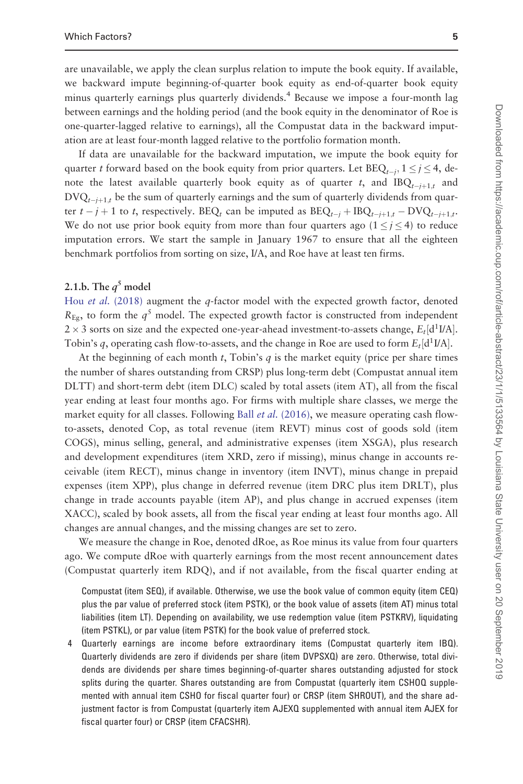are unavailable, we apply the clean surplus relation to impute the book equity. If available, we backward impute beginning-of-quarter book equity as end-of-quarter book equity minus quarterly earnings plus quarterly dividends.4 Because we impose a four-month lag between earnings and the holding period (and the book equity in the denominator of Roe is one-quarter-lagged relative to earnings), all the Compustat data in the backward imputation are at least four-month lagged relative to the portfolio formation month.

If data are unavailable for the backward imputation, we impute the book equity for quarter t forward based on the book equity from prior quarters. Let  $\text{BEQ}_{t-j}, 1 \leq j \leq 4,$  denote the latest available quarterly book equity as of quarter  $t$ , and IB $\mathrm{Q}_{t-j+1,t}$  and  $\mathrm{DVO}_{t-j+1,t}$  be the sum of quarterly earnings and the sum of quarterly dividends from quarter  $t-j+1$  to  $t$ , respectively. BEQ, can be imputed as  $\text{BEQ}_{t-j}+\text{IBQ}_{t-j+1,t}-\text{DVQ}_{t-j+1,t}.$ We do not use prior book equity from more than four quarters ago  $(1 \le j \le 4)$  to reduce imputation errors. We start the sample in January 1967 to ensure that all the eighteen benchmark portfolios from sorting on size, I/A, and Roe have at least ten firms.

# 2.1.b. The  $q^5$  model

Hou et al. [\(2018\)](#page-33-0) augment the  $q$ -factor model with the expected growth factor, denoted  $R_{\text{Eg}}$ , to form the  $q^5$  model. The expected growth factor is constructed from independent  $2 \times 3$  sorts on size and the expected one-year-ahead investment-to-assets change,  $E_t[\text{d}^1 I/A]$ . Tobin's q, operating cash flow-to-assets, and the change in Roe are used to form  $E_t[d^1]/A$ .

At the beginning of each month  $t$ , Tobin's  $q$  is the market equity (price per share times the number of shares outstanding from CRSP) plus long-term debt (Compustat annual item DLTT) and short-term debt (item DLC) scaled by total assets (item AT), all from the fiscal year ending at least four months ago. For firms with multiple share classes, we merge the market equity for all classes. Following Ball et al. [\(2016\)](#page-32-0), we measure operating cash flowto-assets, denoted Cop, as total revenue (item REVT) minus cost of goods sold (item COGS), minus selling, general, and administrative expenses (item XSGA), plus research and development expenditures (item XRD, zero if missing), minus change in accounts receivable (item RECT), minus change in inventory (item INVT), minus change in prepaid expenses (item XPP), plus change in deferred revenue (item DRC plus item DRLT), plus change in trade accounts payable (item AP), and plus change in accrued expenses (item XACC), scaled by book assets, all from the fiscal year ending at least four months ago. All changes are annual changes, and the missing changes are set to zero.

We measure the change in Roe, denoted dRoe, as Roe minus its value from four quarters ago. We compute dRoe with quarterly earnings from the most recent announcement dates (Compustat quarterly item RDQ), and if not available, from the fiscal quarter ending at

Compustat (item SEQ), if available. Otherwise, we use the book value of common equity (item CEQ) plus the par value of preferred stock (item PSTK), or the book value of assets (item AT) minus total liabilities (item LT). Depending on availability, we use redemption value (item PSTKRV), liquidating (item PSTKL), or par value (item PSTK) for the book value of preferred stock.

4 Quarterly earnings are income before extraordinary items (Compustat quarterly item IBQ). Quarterly dividends are zero if dividends per share (item DVPSXQ) are zero. Otherwise, total dividends are dividends per share times beginning-of-quarter shares outstanding adjusted for stock splits during the quarter. Shares outstanding are from Compustat (quarterly item CSHOQ supplemented with annual item CSHO for fiscal quarter four) or CRSP (item SHROUT), and the share adjustment factor is from Compustat (quarterly item AJEXQ supplemented with annual item AJEX for fiscal quarter four) or CRSP (item CFACSHR).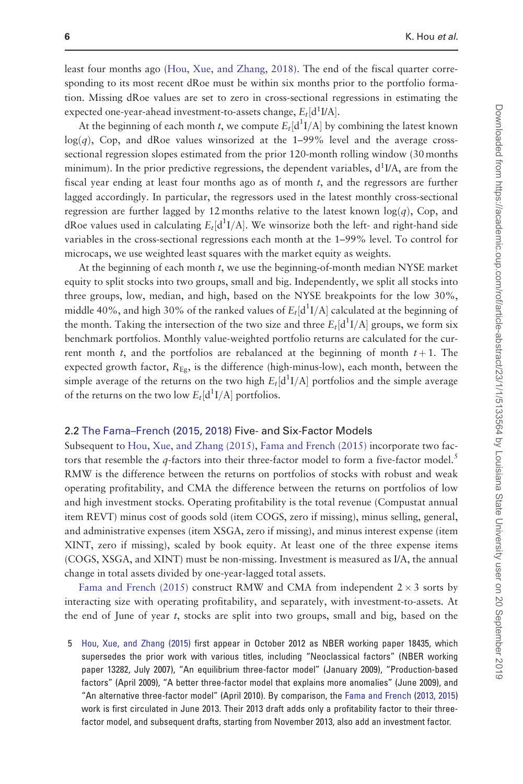least four months ago ([Hou, Xue, and Zhang, 2018](#page-33-0)). The end of the fiscal quarter corresponding to its most recent dRoe must be within six months prior to the portfolio formation. Missing dRoe values are set to zero in cross-sectional regressions in estimating the expected one-year-ahead investment-to-assets change,  $E_t$ [d<sup>1</sup>I/A].

At the beginning of each month t, we compute  $E_t[d^1]/A$  by combining the latest known  $log(q)$ , Cop, and dRoe values winsorized at the 1–99% level and the average crosssectional regression slopes estimated from the prior 120-month rolling window (30 months minimum). In the prior predictive regressions, the dependent variables,  $d^1 I/A$ , are from the fiscal year ending at least four months ago as of month t, and the regressors are further lagged accordingly. In particular, the regressors used in the latest monthly cross-sectional regression are further lagged by 12 months relative to the latest known  $log(q)$ , Cop, and dRoe values used in calculating  $E_t[d^1I/A]$ . We winsorize both the left- and right-hand side variables in the cross-sectional regressions each month at the 1–99% level. To control for microcaps, we use weighted least squares with the market equity as weights.

At the beginning of each month  $t$ , we use the beginning-of-month median NYSE market equity to split stocks into two groups, small and big. Independently, we split all stocks into three groups, low, median, and high, based on the NYSE breakpoints for the low 30%, middle 40%, and high 30% of the ranked values of  $E_t[d^1]/A]$  calculated at the beginning of the month. Taking the intersection of the two size and three  $E_t[\mathbf{d}^1 I/A]$  groups, we form six benchmark portfolios. Monthly value-weighted portfolio returns are calculated for the current month t, and the portfolios are rebalanced at the beginning of month  $t + 1$ . The expected growth factor,  $R_{E_{\text{g}}}$ , is the difference (high-minus-low), each month, between the simple average of the returns on the two high  $E_t[\mathbf{d}^1 I/A]$  portfolios and the simple average of the returns on the two low  $E_t[d^1]/A]$  portfolios.

#### 2.2 [The Fama–French](#page-33-0) [\(2015,](#page-33-0) [2018](#page-33-0)) Five- and Six-Factor Models

Subsequent to [Hou, Xue, and Zhang \(2015\),](#page-33-0) [Fama and French \(2015\)](#page-33-0) incorporate two factors that resemble the  $q$ -factors into their three-factor model to form a five-factor model.<sup>5</sup> RMW is the difference between the returns on portfolios of stocks with robust and weak operating profitability, and CMA the difference between the returns on portfolios of low and high investment stocks. Operating profitability is the total revenue (Compustat annual item REVT) minus cost of goods sold (item COGS, zero if missing), minus selling, general, and administrative expenses (item XSGA, zero if missing), and minus interest expense (item XINT, zero if missing), scaled by book equity. At least one of the three expense items (COGS, XSGA, and XINT) must be non-missing. Investment is measured as I/A, the annual change in total assets divided by one-year-lagged total assets.

[Fama and French \(2015\)](#page-33-0) construct RMW and CMA from independent  $2 \times 3$  sorts by interacting size with operating profitability, and separately, with investment-to-assets. At the end of June of year t, stocks are split into two groups, small and big, based on the

5 [Hou, Xue, and Zhang \(2015\)](#page-33-0) first appear in October 2012 as NBER working paper 18435, which supersedes the prior work with various titles, including "Neoclassical factors" (NBER working paper 13282, July 2007), "An equilibrium three-factor model" (January 2009), "Production-based factors" (April 2009), "A better three-factor model that explains more anomalies" (June 2009), and "An alternative three-factor model" (April 2010). By comparison, the [Fama and French](#page-33-0) ([2013](#page-33-0), [2015](#page-33-0)) work is first circulated in June 2013. Their 2013 draft adds only a profitability factor to their threefactor model, and subsequent drafts, starting from November 2013, also add an investment factor.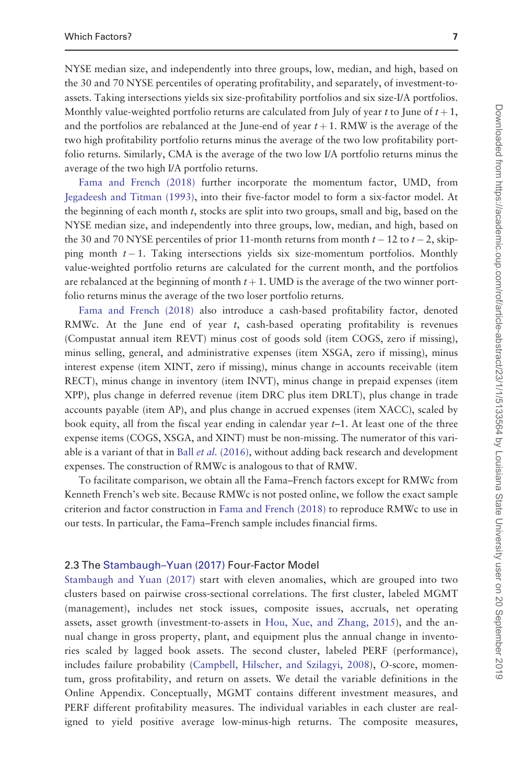NYSE median size, and independently into three groups, low, median, and high, based on the 30 and 70 NYSE percentiles of operating profitability, and separately, of investment-toassets. Taking intersections yields six size-profitability portfolios and six size-I/A portfolios. Monthly value-weighted portfolio returns are calculated from July of year t to June of  $t + 1$ , and the portfolios are rebalanced at the June-end of year  $t + 1$ . RMW is the average of the two high profitability portfolio returns minus the average of the two low profitability portfolio returns. Similarly, CMA is the average of the two low I/A portfolio returns minus the average of the two high I/A portfolio returns.

[Fama and French \(2018\)](#page-33-0) further incorporate the momentum factor, UMD, from [Jegadeesh and Titman \(1993\),](#page-33-0) into their five-factor model to form a six-factor model. At the beginning of each month  $t$ , stocks are split into two groups, small and big, based on the NYSE median size, and independently into three groups, low, median, and high, based on the 30 and 70 NYSE percentiles of prior 11-month returns from month  $t - 12$  to  $t - 2$ , skipping month  $t-1$ . Taking intersections yields six size-momentum portfolios. Monthly value-weighted portfolio returns are calculated for the current month, and the portfolios are rebalanced at the beginning of month  $t + 1$ . UMD is the average of the two winner portfolio returns minus the average of the two loser portfolio returns.

[Fama and French \(2018\)](#page-33-0) also introduce a cash-based profitability factor, denoted RMWc. At the June end of year  $t$ , cash-based operating profitability is revenues (Compustat annual item REVT) minus cost of goods sold (item COGS, zero if missing), minus selling, general, and administrative expenses (item XSGA, zero if missing), minus interest expense (item XINT, zero if missing), minus change in accounts receivable (item RECT), minus change in inventory (item INVT), minus change in prepaid expenses (item XPP), plus change in deferred revenue (item DRC plus item DRLT), plus change in trade accounts payable (item AP), and plus change in accrued expenses (item XACC), scaled by book equity, all from the fiscal year ending in calendar year  $t-1$ . At least one of the three expense items (COGS, XSGA, and XINT) must be non-missing. The numerator of this variable is a variant of that in Ball et al.  $(2016)$ , without adding back research and development expenses. The construction of RMWc is analogous to that of RMW.

To facilitate comparison, we obtain all the Fama–French factors except for RMWc from Kenneth French's web site. Because RMWc is not posted online, we follow the exact sample criterion and factor construction in [Fama and French \(2018\)](#page-33-0) to reproduce RMWc to use in our tests. In particular, the Fama–French sample includes financial firms.

#### 2.3 The [Stambaugh–Yuan \(2017\)](#page-34-0) Four-Factor Model

[Stambaugh and Yuan \(2017\)](#page-34-0) start with eleven anomalies, which are grouped into two clusters based on pairwise cross-sectional correlations. The first cluster, labeled MGMT (management), includes net stock issues, composite issues, accruals, net operating assets, asset growth (investment-to-assets in [Hou, Xue, and Zhang, 2015\)](#page-33-0), and the annual change in gross property, plant, and equipment plus the annual change in inventories scaled by lagged book assets. The second cluster, labeled PERF (performance), includes failure probability [\(Campbell, Hilscher, and Szilagyi, 2008\)](#page-32-0), O-score, momentum, gross profitability, and return on assets. We detail the variable definitions in the Online Appendix. Conceptually, MGMT contains different investment measures, and PERF different profitability measures. The individual variables in each cluster are realigned to yield positive average low-minus-high returns. The composite measures,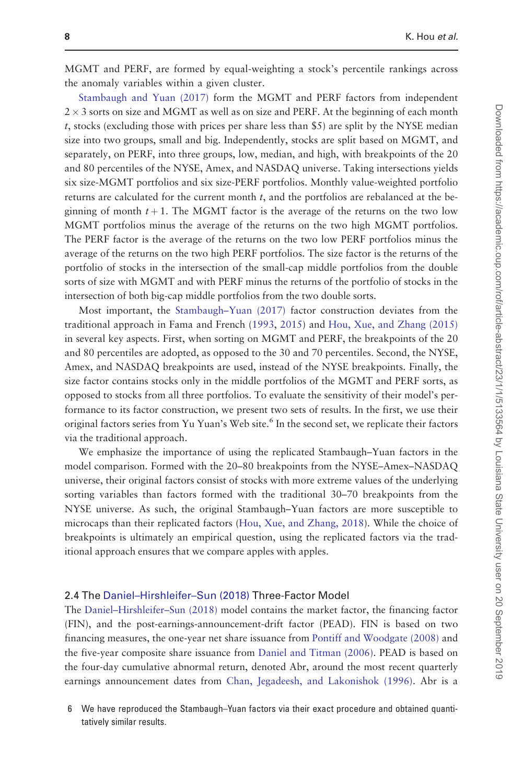MGMT and PERF, are formed by equal-weighting a stock's percentile rankings across the anomaly variables within a given cluster.

[Stambaugh and Yuan \(2017\)](#page-34-0) form the MGMT and PERF factors from independent  $2 \times 3$  sorts on size and MGMT as well as on size and PERF. At the beginning of each month t, stocks (excluding those with prices per share less than \$5) are split by the NYSE median size into two groups, small and big. Independently, stocks are split based on MGMT, and separately, on PERF, into three groups, low, median, and high, with breakpoints of the 20 and 80 percentiles of the NYSE, Amex, and NASDAQ universe. Taking intersections yields six size-MGMT portfolios and six size-PERF portfolios. Monthly value-weighted portfolio returns are calculated for the current month  $t$ , and the portfolios are rebalanced at the beginning of month  $t + 1$ . The MGMT factor is the average of the returns on the two low MGMT portfolios minus the average of the returns on the two high MGMT portfolios. The PERF factor is the average of the returns on the two low PERF portfolios minus the average of the returns on the two high PERF portfolios. The size factor is the returns of the portfolio of stocks in the intersection of the small-cap middle portfolios from the double sorts of size with MGMT and with PERF minus the returns of the portfolio of stocks in the intersection of both big-cap middle portfolios from the two double sorts.

Most important, the [Stambaugh–Yuan \(2017\)](#page-34-0) factor construction deviates from the traditional approach in Fama and French [\(1993,](#page-33-0) [2015\)](#page-33-0) and [Hou, Xue, and Zhang \(2015\)](#page-33-0) in several key aspects. First, when sorting on MGMT and PERF, the breakpoints of the 20 and 80 percentiles are adopted, as opposed to the 30 and 70 percentiles. Second, the NYSE, Amex, and NASDAQ breakpoints are used, instead of the NYSE breakpoints. Finally, the size factor contains stocks only in the middle portfolios of the MGMT and PERF sorts, as opposed to stocks from all three portfolios. To evaluate the sensitivity of their model's performance to its factor construction, we present two sets of results. In the first, we use their original factors series from Yu Yuan's Web site.<sup>6</sup> In the second set, we replicate their factors via the traditional approach.

We emphasize the importance of using the replicated Stambaugh–Yuan factors in the model comparison. Formed with the 20–80 breakpoints from the NYSE–Amex–NASDAQ universe, their original factors consist of stocks with more extreme values of the underlying sorting variables than factors formed with the traditional 30–70 breakpoints from the NYSE universe. As such, the original Stambaugh–Yuan factors are more susceptible to microcaps than their replicated factors [\(Hou, Xue, and Zhang, 2018](#page-33-0)). While the choice of breakpoints is ultimately an empirical question, using the replicated factors via the traditional approach ensures that we compare apples with apples.

# 2.4 The [Daniel–Hirshleifer–Sun \(2018\)](#page-32-0) Three-Factor Model

The [Daniel–Hirshleifer–Sun \(2018\)](#page-32-0) model contains the market factor, the financing factor (FIN), and the post-earnings-announcement-drift factor (PEAD). FIN is based on two financing measures, the one-year net share issuance from [Pontiff and Woodgate \(2008\)](#page-33-0) and the five-year composite share issuance from [Daniel and Titman \(2006\).](#page-33-0) PEAD is based on the four-day cumulative abnormal return, denoted Abr, around the most recent quarterly earnings announcement dates from [Chan, Jegadeesh, and Lakonishok \(1996\)](#page-32-0). Abr is a

6 We have reproduced the Stambaugh–Yuan factors via their exact procedure and obtained quantitatively similar results.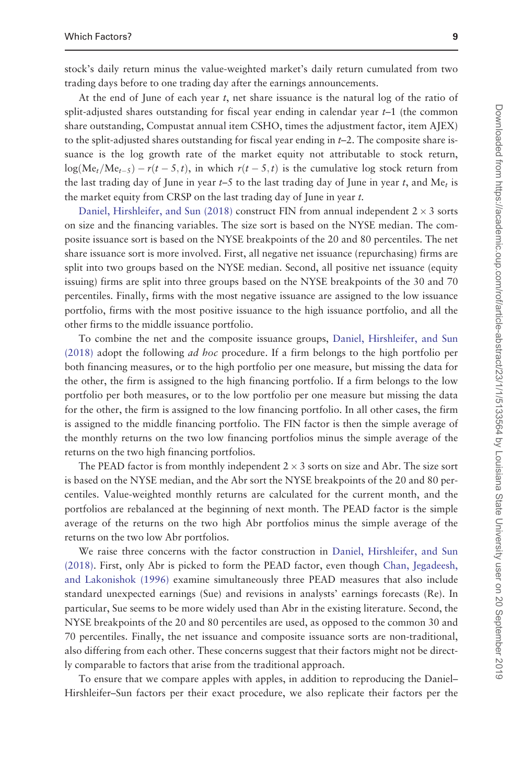stock's daily return minus the value-weighted market's daily return cumulated from two trading days before to one trading day after the earnings announcements.

At the end of June of each year  $t$ , net share issuance is the natural log of the ratio of split-adjusted shares outstanding for fiscal year ending in calendar year  $t-1$  (the common share outstanding, Compustat annual item CSHO, times the adjustment factor, item AJEX) to the split-adjusted shares outstanding for fiscal year ending in  $t-2$ . The composite share issuance is the log growth rate of the market equity not attributable to stock return,  $log(Me_t/Me_{t-5}) - r(t-5,t)$ , in which  $r(t-5,t)$  is the cumulative log stock return from the last trading day of June in year  $t-5$  to the last trading day of June in year t, and Me<sub>t</sub> is the market equity from CRSP on the last trading day of June in year t.

[Daniel, Hirshleifer, and Sun \(2018\)](#page-32-0) construct FIN from annual independent  $2 \times 3$  sorts on size and the financing variables. The size sort is based on the NYSE median. The composite issuance sort is based on the NYSE breakpoints of the 20 and 80 percentiles. The net share issuance sort is more involved. First, all negative net issuance (repurchasing) firms are split into two groups based on the NYSE median. Second, all positive net issuance (equity issuing) firms are split into three groups based on the NYSE breakpoints of the 30 and 70 percentiles. Finally, firms with the most negative issuance are assigned to the low issuance portfolio, firms with the most positive issuance to the high issuance portfolio, and all the other firms to the middle issuance portfolio.

To combine the net and the composite issuance groups, [Daniel, Hirshleifer, and Sun](#page-32-0) [\(2018\)](#page-32-0) adopt the following ad hoc procedure. If a firm belongs to the high portfolio per both financing measures, or to the high portfolio per one measure, but missing the data for the other, the firm is assigned to the high financing portfolio. If a firm belongs to the low portfolio per both measures, or to the low portfolio per one measure but missing the data for the other, the firm is assigned to the low financing portfolio. In all other cases, the firm is assigned to the middle financing portfolio. The FIN factor is then the simple average of the monthly returns on the two low financing portfolios minus the simple average of the returns on the two high financing portfolios.

The PEAD factor is from monthly independent  $2 \times 3$  sorts on size and Abr. The size sort is based on the NYSE median, and the Abr sort the NYSE breakpoints of the 20 and 80 percentiles. Value-weighted monthly returns are calculated for the current month, and the portfolios are rebalanced at the beginning of next month. The PEAD factor is the simple average of the returns on the two high Abr portfolios minus the simple average of the returns on the two low Abr portfolios.

We raise three concerns with the factor construction in [Daniel, Hirshleifer, and Sun](#page-32-0) [\(2018\)](#page-32-0). First, only Abr is picked to form the PEAD factor, even though [Chan, Jegadeesh,](#page-32-0) [and Lakonishok \(1996\)](#page-32-0) examine simultaneously three PEAD measures that also include standard unexpected earnings (Sue) and revisions in analysts' earnings forecasts (Re). In particular, Sue seems to be more widely used than Abr in the existing literature. Second, the NYSE breakpoints of the 20 and 80 percentiles are used, as opposed to the common 30 and 70 percentiles. Finally, the net issuance and composite issuance sorts are non-traditional, also differing from each other. These concerns suggest that their factors might not be directly comparable to factors that arise from the traditional approach.

To ensure that we compare apples with apples, in addition to reproducing the Daniel– Hirshleifer–Sun factors per their exact procedure, we also replicate their factors per the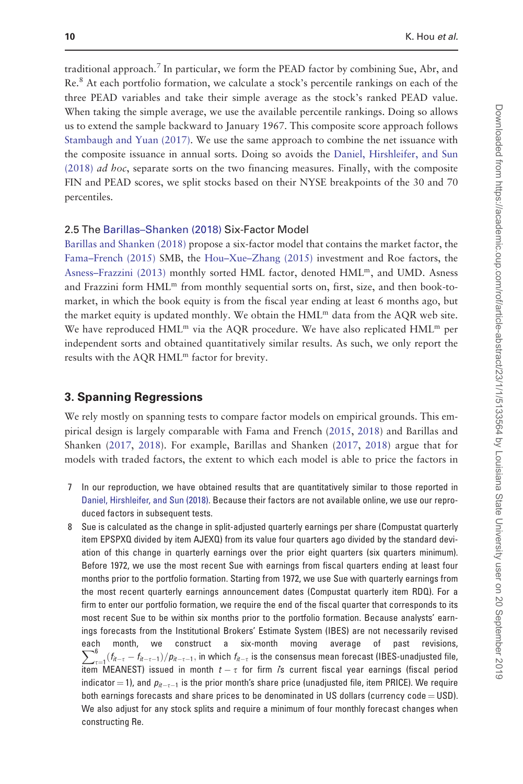traditional approach.<sup>7</sup> In particular, we form the PEAD factor by combining Sue, Abr, and  $Re<sup>8</sup>$  At each portfolio formation, we calculate a stock's percentile rankings on each of the three PEAD variables and take their simple average as the stock's ranked PEAD value. When taking the simple average, we use the available percentile rankings. Doing so allows us to extend the sample backward to January 1967. This composite score approach follows [Stambaugh and Yuan \(2017\)](#page-34-0). We use the same approach to combine the net issuance with the composite issuance in annual sorts. Doing so avoids the [Daniel, Hirshleifer, and Sun](#page-32-0)  $(2018)$  *ad hoc*, separate sorts on the two financing measures. Finally, with the composite FIN and PEAD scores, we split stocks based on their NYSE breakpoints of the 30 and 70 percentiles.

#### 2.5 The [Barillas–Shanken \(2018\)](#page-32-0) Six-Factor Model

[Barillas and Shanken \(2018\)](#page-32-0) propose a six-factor model that contains the market factor, the [Fama–French \(2015\)](#page-33-0) SMB, the [Hou–Xue–Zhang \(2015\)](#page-33-0) investment and Roe factors, the [Asness–Frazzini \(2013\)](#page-32-0) monthly sorted HML factor, denoted  $HML<sup>m</sup>$ , and UMD. Asness and Frazzini form  $HML<sup>m</sup>$  from monthly sequential sorts on, first, size, and then book-tomarket, in which the book equity is from the fiscal year ending at least 6 months ago, but the market equity is updated monthly. We obtain the  $HML^m$  data from the AQR web site. We have reproduced HML<sup>m</sup> via the AQR procedure. We have also replicated HML<sup>m</sup> per independent sorts and obtained quantitatively similar results. As such, we only report the results with the AQR HML<sup>m</sup> factor for brevity.

# 3. Spanning Regressions

We rely mostly on spanning tests to compare factor models on empirical grounds. This empirical design is largely comparable with Fama and French ([2015](#page-33-0), [2018](#page-33-0)) and Barillas and Shanken [\(2017](#page-32-0), [2018\)](#page-32-0). For example, Barillas and Shanken [\(2017](#page-32-0), [2018\)](#page-32-0) argue that for models with traded factors, the extent to which each model is able to price the factors in

- 7 In our reproduction, we have obtained results that are quantitatively similar to those reported in [Daniel, Hirshleifer, and Sun \(2018\)](#page-32-0). Because their factors are not available online, we use our reproduced factors in subsequent tests.
- 8 Sue is calculated as the change in split-adjusted quarterly earnings per share (Compustat quarterly item EPSPXQ divided by item AJEXQ) from its value four quarters ago divided by the standard deviation of this change in quarterly earnings over the prior eight quarters (six quarters minimum). Before 1972, we use the most recent Sue with earnings from fiscal quarters ending at least four months prior to the portfolio formation. Starting from 1972, we use Sue with quarterly earnings from the most recent quarterly earnings announcement dates (Compustat quarterly item RDQ). For a firm to enter our portfolio formation, we require the end of the fiscal quarter that corresponds to its most recent Sue to be within six months prior to the portfolio formation. Because analysts' earnings forecasts from the Institutional Brokers' Estimate System (IBES) are not necessarily revised each month, we construct a six-month moving average of past revisions,  $\sum_{k=0}^{\infty}$  $\int_{\tau=1}^{\infty}(f_{it-\tau}-f_{it-\tau-1})/\rho_{it-\tau-1},$  in which  $f_{it-\tau}$  is the consensus mean forecast (IBES-unadjusted file, item MEANEST) issued in month  $t-\tau$  for firm is current fiscal year earnings (fiscal period indicator  $=$  1), and  $p_{it-\tau-1}$  is the prior month's share price (unadjusted file, item PRICE). We require both earnings forecasts and share prices to be denominated in US dollars (currency code  $=$  USD). We also adjust for any stock splits and require a minimum of four monthly forecast changes when constructing Re.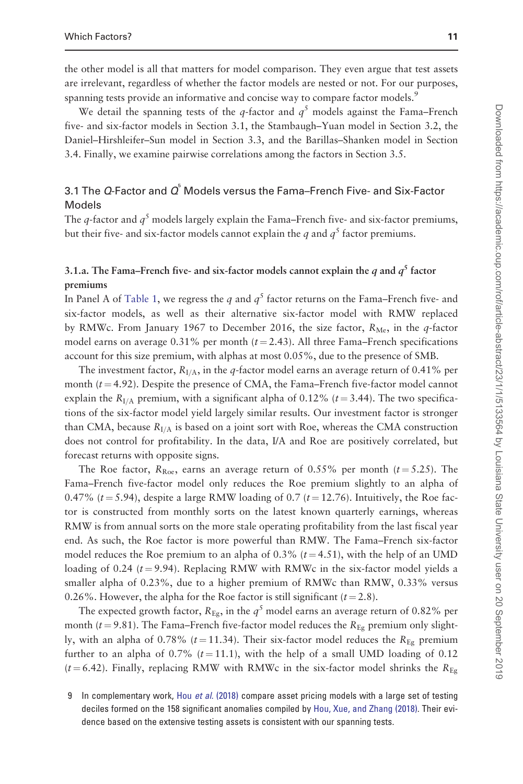the other model is all that matters for model comparison. They even argue that test assets are irrelevant, regardless of whether the factor models are nested or not. For our purposes, spanning tests provide an informative and concise way to compare factor models.<sup>9</sup>

We detail the spanning tests of the q-factor and  $q^5$  models against the Fama–French five- and six-factor models in Section 3.1, the Stambaugh–Yuan model in Section 3.2, the Daniel–Hirshleifer–Sun model in Section 3.3, and the Barillas–Shanken model in Section 3.4. Finally, we examine pairwise correlations among the factors in Section 3.5.

# 3.1 The  $\mathit{Q}\text{-}\mathsf{Factor}$  and  $\mathit{Q}^\circ$  Models versus the Fama–French Five- and Six-Factor Models

The q-factor and  $q^5$  models largely explain the Fama–French five- and six-factor premiums, but their five- and six-factor models cannot explain the  $q$  and  $q^5$  factor premiums.

# 3.1.a. The Fama–French five- and six-factor models cannot explain the q and  $q^5$  factor premiums

In Panel A of [Table 1](#page-13-0), we regress the q and  $q^5$  factor returns on the Fama–French five- and six-factor models, as well as their alternative six-factor model with RMW replaced by RMWc. From January 1967 to December 2016, the size factor,  $R_{Me}$ , in the q-factor model earns on average 0.31% per month  $(t = 2.43)$ . All three Fama–French specifications account for this size premium, with alphas at most 0.05%, due to the presence of SMB.

The investment factor,  $R_{I/A}$ , in the q-factor model earns an average return of 0.41% per month  $(t = 4.92)$ . Despite the presence of CMA, the Fama–French five-factor model cannot explain the  $R_{I/A}$  premium, with a significant alpha of 0.12% (t = 3.44). The two specifications of the six-factor model yield largely similar results. Our investment factor is stronger than CMA, because  $R_{I/A}$  is based on a joint sort with Roe, whereas the CMA construction does not control for profitability. In the data, I/A and Roe are positively correlated, but forecast returns with opposite signs.

The Roe factor,  $R_{\text{Roe}}$ , earns an average return of 0.55% per month ( $t = 5.25$ ). The Fama–French five-factor model only reduces the Roe premium slightly to an alpha of 0.47% ( $t = 5.94$ ), despite a large RMW loading of 0.7 ( $t = 12.76$ ). Intuitively, the Roe factor is constructed from monthly sorts on the latest known quarterly earnings, whereas RMW is from annual sorts on the more stale operating profitability from the last fiscal year end. As such, the Roe factor is more powerful than RMW. The Fama–French six-factor model reduces the Roe premium to an alpha of  $0.3\%$  ( $t = 4.51$ ), with the help of an UMD loading of 0.24 ( $t = 9.94$ ). Replacing RMW with RMWc in the six-factor model yields a smaller alpha of 0.23%, due to a higher premium of RMWc than RMW, 0.33% versus 0.26%. However, the alpha for the Roe factor is still significant  $(t = 2.8)$ .

The expected growth factor,  $R_{\text{Eg}}$ , in the  $q^5$  model earns an average return of 0.82% per month ( $t = 9.81$ ). The Fama–French five-factor model reduces the  $R_{\text{Eg}}$  premium only slightly, with an alpha of 0.78% ( $t = 11.34$ ). Their six-factor model reduces the R<sub>Eg</sub> premium further to an alpha of 0.7% ( $t = 11.1$ ), with the help of a small UMD loading of 0.12  $(t=6.42)$ . Finally, replacing RMW with RMWc in the six-factor model shrinks the  $R_{\text{Eg}}$ 

<sup>9</sup> In complementary work, Hou et al. [\(2018\)](#page-33-0) compare asset pricing models with a large set of testing deciles formed on the 158 significant anomalies compiled by [Hou, Xue, and Zhang \(2018\)](#page-33-0). Their evidence based on the extensive testing assets is consistent with our spanning tests.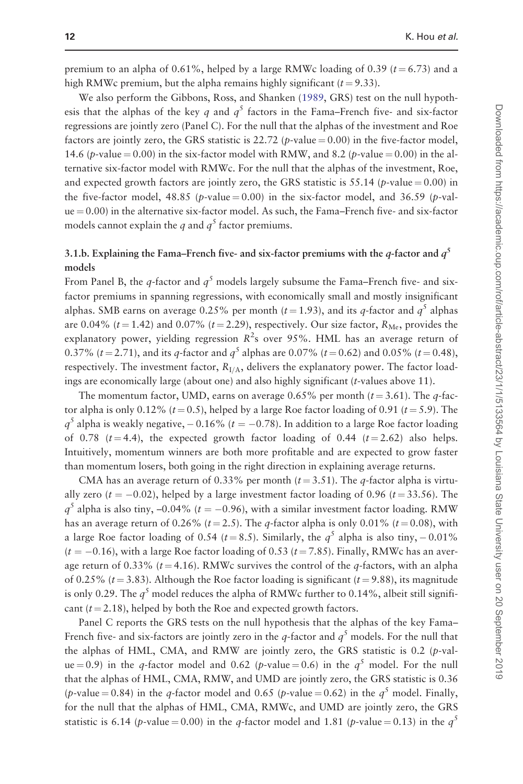premium to an alpha of 0.61%, helped by a large RMWc loading of 0.39 ( $t = 6.73$ ) and a high RMWc premium, but the alpha remains highly significant  $(t = 9.33)$ .

We also perform the Gibbons, Ross, and Shanken [\(1989](#page-33-0), GRS) test on the null hypothesis that the alphas of the key q and  $q^5$  factors in the Fama–French five- and six-factor regressions are jointly zero (Panel C). For the null that the alphas of the investment and Roe factors are jointly zero, the GRS statistic is 22.72 (p-value  $= 0.00$ ) in the five-factor model, 14.6 (*p*-value = 0.00) in the six-factor model with RMW, and 8.2 (*p*-value = 0.00) in the alternative six-factor model with RMWc. For the null that the alphas of the investment, Roe, and expected growth factors are jointly zero, the GRS statistic is 55.14 (p-value = 0.00) in the five-factor model,  $48.85$  (p-value = 0.00) in the six-factor model, and 36.59 (p-val $ue = 0.00$ ) in the alternative six-factor model. As such, the Fama–French five- and six-factor models cannot explain the q and  $q^5$  factor premiums.

# 3.1.b. Explaining the Fama–French five- and six-factor premiums with the q-factor and  $q^5$ models

From Panel B, the  $q$ -factor and  $q^5$  models largely subsume the Fama–French five- and sixfactor premiums in spanning regressions, with economically small and mostly insignificant alphas. SMB earns on average 0.25% per month ( $t = 1.93$ ), and its q-factor and  $q<sup>5</sup>$  alphas are 0.04% ( $t = 1.42$ ) and 0.07% ( $t = 2.29$ ), respectively. Our size factor,  $R_{\text{Me}}$ , provides the explanatory power, yielding regression  $R^2$ s over 95%. HML has an average return of 0.37% ( $t = 2.71$ ), and its q-factor and  $q^5$  alphas are 0.07% ( $t = 0.62$ ) and 0.05% ( $t = 0.48$ ), respectively. The investment factor,  $R_{1/A}$ , delivers the explanatory power. The factor loadings are economically large (about one) and also highly significant  $(t$ -values above 11).

The momentum factor, UMD, earns on average 0.65% per month ( $t = 3.61$ ). The q-factor alpha is only 0.12% ( $t = 0.5$ ), helped by a large Roe factor loading of 0.91 ( $t = 5.9$ ). The  $q^5$  alpha is weakly negative,  $-$  0.16% ( $t = -0.78$ ). In addition to a large Roe factor loading of 0.78 ( $t = 4.4$ ), the expected growth factor loading of 0.44 ( $t = 2.62$ ) also helps. Intuitively, momentum winners are both more profitable and are expected to grow faster than momentum losers, both going in the right direction in explaining average returns.

CMA has an average return of 0.33% per month ( $t = 3.51$ ). The *q*-factor alpha is virtually zero ( $t = -0.02$ ), helped by a large investment factor loading of 0.96 ( $t = 33.56$ ). The  $q^5$  alpha is also tiny, -0.04% ( $t = -0.96$ ), with a similar investment factor loading. RMW has an average return of 0.26% ( $t = 2.5$ ). The q-factor alpha is only 0.01% ( $t = 0.08$ ), with a large Roe factor loading of 0.54 ( $t = 8.5$ ). Similarly, the  $q<sup>5</sup>$  alpha is also tiny,  $-0.01\%$  $(t = -0.16)$ , with a large Roe factor loading of 0.53  $(t = 7.85)$ . Finally, RMWc has an average return of 0.33% ( $t = 4.16$ ). RMWc survives the control of the q-factors, with an alpha of 0.25% ( $t = 3.83$ ). Although the Roe factor loading is significant ( $t = 9.88$ ), its magnitude is only 0.29. The  $q^5$  model reduces the alpha of RMWc further to 0.14%, albeit still significant  $(t = 2.18)$ , helped by both the Roe and expected growth factors.

Panel C reports the GRS tests on the null hypothesis that the alphas of the key Fama– French five- and six-factors are jointly zero in the q-factor and  $q<sup>5</sup>$  models. For the null that the alphas of HML, CMA, and RMW are jointly zero, the GRS statistic is 0.2 (p-value = 0.9) in the q-factor model and 0.62 (p-value = 0.6) in the  $q<sup>5</sup>$  model. For the null that the alphas of HML, CMA, RMW, and UMD are jointly zero, the GRS statistic is 0.36 (p-value = 0.84) in the q-factor model and 0.65 (p-value = 0.62) in the  $q^5$  model. Finally, for the null that the alphas of HML, CMA, RMWc, and UMD are jointly zero, the GRS statistic is 6.14 (p-value = 0.00) in the q-factor model and 1.81 (p-value = 0.13) in the  $q^5$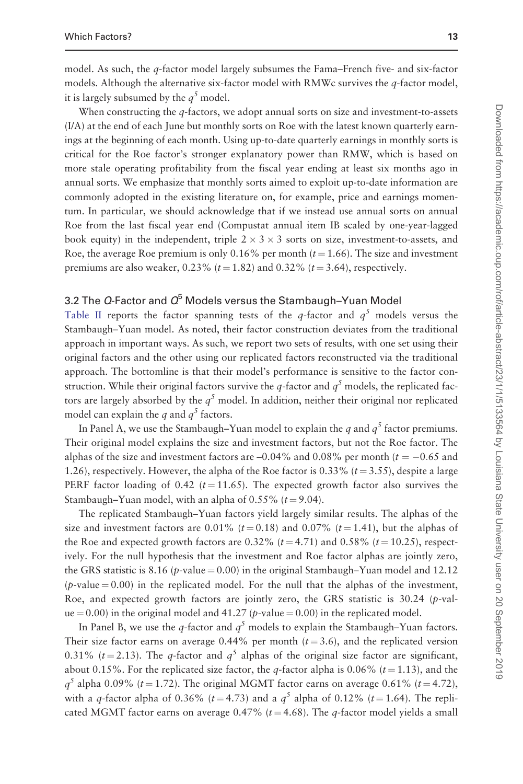model. As such, the q-factor model largely subsumes the Fama–French five- and six-factor models. Although the alternative six-factor model with RMWc survives the q-factor model, it is largely subsumed by the  $q^5$  model.

When constructing the  $q$ -factors, we adopt annual sorts on size and investment-to-assets (I/A) at the end of each June but monthly sorts on Roe with the latest known quarterly earnings at the beginning of each month. Using up-to-date quarterly earnings in monthly sorts is critical for the Roe factor's stronger explanatory power than RMW, which is based on more stale operating profitability from the fiscal year ending at least six months ago in annual sorts. We emphasize that monthly sorts aimed to exploit up-to-date information are commonly adopted in the existing literature on, for example, price and earnings momentum. In particular, we should acknowledge that if we instead use annual sorts on annual Roe from the last fiscal year end (Compustat annual item IB scaled by one-year-lagged book equity) in the independent, triple  $2 \times 3 \times 3$  sorts on size, investment-to-assets, and Roe, the average Roe premium is only 0.16% per month ( $t = 1.66$ ). The size and investment premiums are also weaker, 0.23% ( $t = 1.82$ ) and 0.32% ( $t = 3.64$ ), respectively.

# 3.2 The  $Q$ -Factor and  $Q^5$  Models versus the Stambaugh–Yuan Model

[Table II](#page-16-0) reports the factor spanning tests of the q-factor and  $q<sup>5</sup>$  models versus the Stambaugh–Yuan model. As noted, their factor construction deviates from the traditional approach in important ways. As such, we report two sets of results, with one set using their original factors and the other using our replicated factors reconstructed via the traditional approach. The bottomline is that their model's performance is sensitive to the factor construction. While their original factors survive the q-factor and  $q<sup>5</sup>$  models, the replicated factors are largely absorbed by the  $q^5$  model. In addition, neither their original nor replicated model can explain the q and  $q^5$  factors.

In Panel A, we use the Stambaugh–Yuan model to explain the q and  $q<sup>5</sup>$  factor premiums. Their original model explains the size and investment factors, but not the Roe factor. The alphas of the size and investment factors are  $-0.04\%$  and  $0.08\%$  per month ( $t = -0.65$  and 1.26), respectively. However, the alpha of the Roe factor is  $0.33\%$  ( $t = 3.55$ ), despite a large PERF factor loading of 0.42 ( $t = 11.65$ ). The expected growth factor also survives the Stambaugh–Yuan model, with an alpha of 0.55%  $(t = 9.04)$ .

The replicated Stambaugh–Yuan factors yield largely similar results. The alphas of the size and investment factors are  $0.01\%$  (t=0.18) and 0.07% (t=1.41), but the alphas of the Roe and expected growth factors are 0.32% ( $t = 4.71$ ) and 0.58% ( $t = 10.25$ ), respectively. For the null hypothesis that the investment and Roe factor alphas are jointly zero, the GRS statistic is 8.16 (p-value =  $0.00$ ) in the original Stambaugh–Yuan model and 12.12  $(p\text{-value} = 0.00)$  in the replicated model. For the null that the alphas of the investment, Roe, and expected growth factors are jointly zero, the GRS statistic is 30.24 (p-value = 0.00) in the original model and 41.27 (p-value = 0.00) in the replicated model.

In Panel B, we use the q-factor and  $q^5$  models to explain the Stambaugh–Yuan factors. Their size factor earns on average 0.44% per month ( $t = 3.6$ ), and the replicated version 0.31% (t=2.13). The q-factor and  $q^5$  alphas of the original size factor are significant, about 0.15%. For the replicated size factor, the q-factor alpha is 0.06% ( $t = 1.13$ ), and the  $q^5$  alpha 0.09% (t = 1.72). The original MGMT factor earns on average 0.61% (t = 4.72), with a q-factor alpha of 0.36% ( $t = 4.73$ ) and a  $q<sup>5</sup>$  alpha of 0.12% ( $t = 1.64$ ). The replicated MGMT factor earns on average 0.47% ( $t = 4.68$ ). The q-factor model yields a small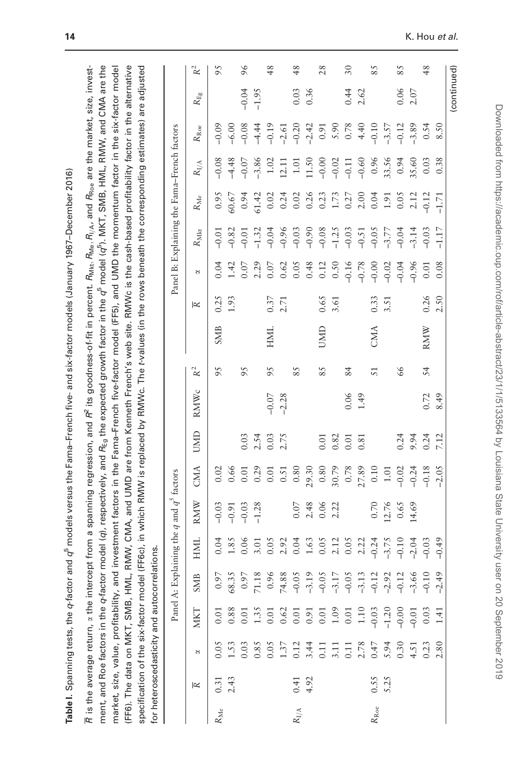| ļ<br>í             |
|--------------------|
| ŕ                  |
|                    |
| l<br>Ī             |
| ŗ                  |
| ׇ֚֘֡               |
|                    |
|                    |
| i<br>Ŝ             |
|                    |
| š                  |
|                    |
|                    |
|                    |
|                    |
|                    |
|                    |
|                    |
| ĺ                  |
| $\frac{1}{2}$      |
|                    |
|                    |
|                    |
|                    |
| ֚֘֝<br>ׇׅ֠         |
|                    |
|                    |
|                    |
| í                  |
| ¢                  |
| .<br>בי היה        |
| I                  |
| J                  |
|                    |
| č                  |
|                    |
|                    |
|                    |
|                    |
|                    |
| ֧֧֚֚ <u>֚֓</u> ֚֚֓ |
| ;<br>ξ             |
|                    |
| ١                  |
| ्<br>ś             |
| i                  |
|                    |
|                    |
|                    |
|                    |
|                    |
|                    |
|                    |
| ׇ֚֓֡֡              |
|                    |
|                    |
| ć                  |
|                    |
|                    |
|                    |
| ŕ<br>I<br>j        |
|                    |
| j                  |
| ï                  |
| ć<br>i             |
|                    |
| Ò                  |
|                    |
| lable              |
|                    |
|                    |

<span id="page-13-0"></span> $\overline{R}$  is the average return,  $\alpha$  the intercept from a spanning regression, and  $R^2$  its goodness-of-fit in percent.  $R_{Mk}, R_{Me}, R_{1/h}$ , and  $R_{Roe}$  are the market, size, investment, and Roe factors in the o-factor model (q), respectively, and  $R_{\rm ig}$  the expected growth factor in the o $^5$  model (q $^5$ ). NKT, SMB, HML, RMW, and CMA are the (FF6). The data on MKT, SMB, HML, RMW, CMA, and UMD are from Kenneth French's web site. RMWc is the cash-based profitability factor in the alternative specification of the six-factor model (FF6c), in which RMW is replaced by RMWc. The t-values (in the rows beneath the corresponding estimates) are adjusted market, size, value, profitability, and investment factors in the Fama-French five-factor model (FF5), and UMD the momentum factor in the six-factor model  $\bar{R}$  is the average return,  $x$  the intercept from a spanning regression, and  $R^2$  its goodness-of-fit in percent.  $R_{Mks}, R_{Mks}, R_{Mks}$  and  $R_{res}$  are the market, size, investment, and Roe factors in the q-factor model (q), respectively, and  $R_{\rm Eg}$  the expected growth factor in the q<sup>5</sup> model (q<sup>5</sup>). MKT, SMB, HML, RMW, and CMA are the market, size, value, profitability, and investment factors in the Fama–French five-factor model (FF5), and UMD the momentum factor in the six-factor model (FF6). The data on MKT, SMB, HML, RMW, CMA, and UMD are from Kenneth French's web site. RMWc is the cash-based profitability factor in the alternative specification of the six-factor model (FF6c), in which RMW is replaced by RMWc. The t-values (in the rows beneath the corresponding estimates) are adjusted for heteroscedasticity and autocorrelations. for heteroscedasticity and autocorrelations.

|                                               | $\rm R^2$     | 95              |                                          | 96 |                    | 48                                                                                                                                                                                                                                                                                                                                                                                                   |                | 48              |                  | 28                         |                            | $30\,$         |      | 85             |      | 85                      | 48                 |         |             |
|-----------------------------------------------|---------------|-----------------|------------------------------------------|----|--------------------|------------------------------------------------------------------------------------------------------------------------------------------------------------------------------------------------------------------------------------------------------------------------------------------------------------------------------------------------------------------------------------------------------|----------------|-----------------|------------------|----------------------------|----------------------------|----------------|------|----------------|------|-------------------------|--------------------|---------|-------------|
|                                               | $R_{\rm Eg}$  |                 |                                          |    | $-0.04$<br>$-1.95$ |                                                                                                                                                                                                                                                                                                                                                                                                      |                |                 | $0.03$<br>$0.36$ |                            |                            | $0.44$<br>2.62 |      |                |      | $0.06$<br>$2.07$        |                    |         | (continued) |
|                                               | $R_{\rm Roe}$ |                 |                                          |    |                    |                                                                                                                                                                                                                                                                                                                                                                                                      |                |                 |                  |                            |                            |                |      |                |      |                         |                    |         |             |
|                                               | $R_{\rm I/A}$ |                 |                                          |    |                    |                                                                                                                                                                                                                                                                                                                                                                                                      |                |                 |                  |                            |                            |                |      |                |      |                         |                    | 0.38    |             |
|                                               | $R_{\rm Me}$  |                 |                                          |    |                    |                                                                                                                                                                                                                                                                                                                                                                                                      |                |                 |                  |                            |                            |                |      |                |      |                         |                    |         |             |
| Panel B: Explaining the Fama-French factors   | $R_{\rm Mkt}$ | $-0.01$         |                                          |    |                    | $\begin{array}{l} 82 \\ 9 \\ 9 \\ 1 \\ \end{array} \begin{array}{l} 25 \\ 13 \\ 15 \\ 16 \\ 17 \\ \end{array} \begin{array}{l} 25 \\ 15 \\ 15 \\ 16 \\ 17 \\ 18 \\ 19 \\ 19 \\ \end{array} \begin{array}{l} 25 \\ 15 \\ 15 \\ 16 \\ 19 \\ 19 \\ 19 \\ \end{array} \begin{array}{l} 25 \\ 15 \\ 15 \\ 19 \\ 19 \\ 19 \\ \end{array} \begin{array}{l} 25 \\ 15 \\ 15 \\ 19 \\ 19 \\ 19 \\ \end{array}$ |                |                 |                  |                            |                            |                |      |                |      |                         | 0.03               | 1.17    |             |
|                                               | S,            |                 |                                          |    |                    | $3.45$ $2.5$ $3.5$ $3.5$ $4.5$ $3.5$ $4.5$ $3.5$ $4.5$ $3.5$ $4.5$ $4.5$ $5.5$ $5.5$ $5.5$ $5.5$ $5.5$ $5.5$ $5.5$ $5.5$ $5.5$ $5.5$ $5.5$ $5.5$ $5.5$ $5.5$ $5.5$ $5.5$ $5.5$ $5.5$ $5.5$ $5.5$ $5.5$ $5.5$ $5.5$ $5.5$ $5.5$                                                                                                                                                                       |                |                 |                  |                            |                            |                |      |                |      |                         | 0.01               | 0.08    |             |
|                                               | ĺΚ            |                 | $0.25$<br>1.93                           |    |                    |                                                                                                                                                                                                                                                                                                                                                                                                      | $0.37$<br>2.71 |                 |                  | 0.65                       | 3.61                       |                |      | 0.33           | 3.51 |                         | $0.26$<br>$2.50$   |         |             |
|                                               |               | <b>SMB</b>      |                                          |    |                    | <b>HML</b>                                                                                                                                                                                                                                                                                                                                                                                           |                |                 |                  | UMD                        |                            |                |      | CMA            |      |                         | RMW                |         |             |
|                                               | $R^2$         | 95              |                                          | 95 |                    | 95                                                                                                                                                                                                                                                                                                                                                                                                   |                | 85              |                  | 85                         |                            | 84             |      | 51             |      | 66                      | 54                 |         |             |
|                                               | $\text{RMWc}$ |                 |                                          |    |                    | $-0.07$<br>$-2.28$                                                                                                                                                                                                                                                                                                                                                                                   |                |                 |                  |                            |                            | $0.06$<br>1.49 |      |                |      |                         | $0.72$<br>8.49     |         |             |
|                                               | UMD           |                 |                                          |    |                    | $0.03$<br>$0.03$<br>$0.03$<br>2.75                                                                                                                                                                                                                                                                                                                                                                   |                |                 |                  |                            | $0.01$<br>$0.82$<br>$0.01$ |                | 0.81 |                |      |                         | 24<br>9.34<br>7.12 |         |             |
|                                               | CMA           |                 |                                          |    |                    |                                                                                                                                                                                                                                                                                                                                                                                                      |                |                 |                  |                            |                            |                |      |                |      |                         |                    |         |             |
| Panel A: Explaining the $q$ and $q^5$ factors | <b>RMW</b>    |                 | $-0.91$<br>$-0.91$<br>$-0.03$<br>$-1.28$ |    |                    |                                                                                                                                                                                                                                                                                                                                                                                                      |                |                 |                  | $0.48$<br>$0.32$<br>$0.21$ |                            |                |      |                |      | 0.76<br>12.769<br>14.69 |                    |         |             |
|                                               | HML           |                 |                                          |    |                    |                                                                                                                                                                                                                                                                                                                                                                                                      |                |                 |                  |                            |                            |                |      |                |      |                         |                    | $-0.49$ |             |
|                                               | <b>SMB</b>    |                 |                                          |    |                    |                                                                                                                                                                                                                                                                                                                                                                                                      |                |                 |                  |                            |                            |                |      |                |      |                         |                    |         |             |
|                                               | <b>NIKT</b>   |                 |                                          |    |                    | $\begin{array}{l} 5.85 & 5.87 \\ 5.87 & 5.87 \\ 5.98 & 5.87 \\ 5.99 & 5.87 \\ 5.99 & 5.87 \\ 5.90 & 5.87 \\ 5.90 & 5.87 \\ 5.90 & 5.87 \\ 5.90 & 5.87 \\ 5.90 & 5.87 \\ 5.90 & 5.87 \\ 5.90 & 5.87 \\ 5.90 & 5.87 \\ 5.90 & 5.87 \\ 5.90 & 5.87 \\ 5.90 & 5.87 \\ 5.90 & 5.87 \\ 5.90 & 5.$                                                                                                          |                |                 |                  |                            |                            |                |      |                |      |                         |                    |         |             |
|                                               |               |                 |                                          |    |                    |                                                                                                                                                                                                                                                                                                                                                                                                      |                |                 |                  |                            |                            |                |      |                |      |                         |                    |         |             |
|                                               | ſΚ            | $0.31$<br>2.43  |                                          |    |                    |                                                                                                                                                                                                                                                                                                                                                                                                      |                | $0.41$<br>4.92  |                  |                            |                            |                |      | $0.55$<br>5.25 |      |                         |                    |         |             |
|                                               |               | $R_{\text{Me}}$ |                                          |    |                    |                                                                                                                                                                                                                                                                                                                                                                                                      |                | $R_{I/\Lambda}$ |                  |                            |                            |                |      | $R_{\rm Roe}$  |      |                         |                    |         |             |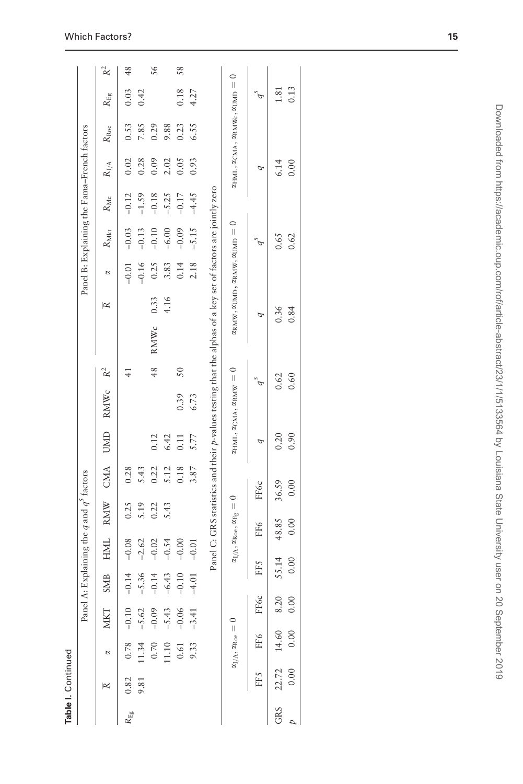|              | Table I. Continued |                                                     |                                          |            |         |                                                       |       |      |                                                                                                             |               |      |      |                  |                                                                                       |                 |                                                                                      |               |                 |                |
|--------------|--------------------|-----------------------------------------------------|------------------------------------------|------------|---------|-------------------------------------------------------|-------|------|-------------------------------------------------------------------------------------------------------------|---------------|------|------|------------------|---------------------------------------------------------------------------------------|-----------------|--------------------------------------------------------------------------------------|---------------|-----------------|----------------|
|              |                    |                                                     | Panel                                    |            |         | A: Explaining the $q$ and $q^3$ factors               |       |      |                                                                                                             |               |      |      |                  | Panel B: Explaining the Fama-French factors                                           |                 |                                                                                      |               |                 |                |
|              | İΚ                 | S                                                   | <b>MKT</b>                               | <b>SMB</b> | HML     | <b>RMW</b>                                            | CMA   | UMD  | RMWc                                                                                                        | $R^2$         |      | í≃   | $\boldsymbol{8}$ | $R_{Mkt}$                                                                             | $R_{\text{Me}}$ | $R_{I/A}$                                                                            | $R_{\rm Roe}$ | $R_{\text{Eg}}$ | R <sup>2</sup> |
| $R_{\rm Eg}$ | 0.82               | $0.78\,$                                            | $-0.10$                                  | $-0.14$    | $-0.08$ | 0.25                                                  | 0.28  |      |                                                                                                             | $\frac{1}{4}$ |      |      | $-0.01$          | $-0.03$                                                                               | $-0.12$         | 0.02                                                                                 | 0.53          | 0.03            | 48             |
|              | 9.81               |                                                     |                                          | $-5.36$    | $-2.62$ | 5.19                                                  | 5.43  |      |                                                                                                             |               |      |      | $-0.16$          | $-0.13$                                                                               | $-1.59$         | 0.28                                                                                 | 7.85          | 0.42            |                |
|              |                    | $\begin{array}{c} 1.34 \\ 0.70 \\ 1.10 \end{array}$ | $-5.62$<br>$-0.09$<br>$-5.43$<br>$-0.06$ | $-0.14$    | $-0.02$ | 0.22                                                  | 0.22  | 0.12 |                                                                                                             | 48            | RMWc | 0.33 | 0.25             | $-0.10$                                                                               | $-0.18$         | 0.09                                                                                 | 0.29          |                 | 56             |
|              |                    |                                                     |                                          | $-6.43$    | $-0.54$ | 5.43                                                  | 5.12  | 6.42 |                                                                                                             |               |      | 4.16 | 3.83             | $-6.00$                                                                               | $-5.25$         | 2.02                                                                                 | 9.88          |                 |                |
|              |                    | 0.61                                                |                                          | $-0.10$    | $-0.00$ |                                                       | 0.18  | 0.11 | 0.39                                                                                                        | 50            |      |      | 0.14             | $-0.09$                                                                               | $-0.17$         | 0.05                                                                                 | 0.23          | 0.18            | 58             |
|              |                    | 9.33                                                | $-3.41$                                  | $-4.01$    | $-0.01$ |                                                       | 3.87  | 5.77 | 6.73                                                                                                        |               |      |      | 2.18             | $-5.15$                                                                               | $-4.45$         | 0.93                                                                                 | 6.55          | 4.27            |                |
|              |                    |                                                     |                                          |            |         |                                                       |       |      | Panel C: GRS statistics and their p-values testing that the alphas of a key set of factors are jointly zero |               |      |      |                  |                                                                                       |                 |                                                                                      |               |                 |                |
|              |                    | $\alpha_{\rm I/A}, \alpha_{\rm Roc} = 0$            |                                          |            |         | $\alpha_{\rm I/A},\alpha_{\rm Roe},\alpha_{\rm Eg}=0$ |       |      | $\alpha_{\rm HML}, \alpha_{\rm CMA}, \alpha_{\rm RMW} = 0$                                                  |               |      |      |                  | $\alpha_{\rm RMW}$ , $\alpha_{\rm UMD}$ , $\alpha_{\rm RMW}$ , $\alpha_{\rm UMD} = 0$ |                 | $\alpha_{\rm HML}$ , $\alpha_{\rm CMA}$ , $\alpha_{\rm RMWE}$ , $\alpha_{\rm UMD}=0$ |               |                 |                |
|              | FF5                | FF6                                                 | FF6c                                     | FF5        |         | FF6                                                   | FF6c  | Φ    |                                                                                                             | $q^5$         |      | Φ    |                  | $q^5$                                                                                 |                 | Φ                                                                                    |               | $q^5$           |                |
| <b>GRS</b>   | 22.72              | 14.60                                               | 8.20                                     | 55.14      |         | 48.85                                                 | 36.59 | 0.20 |                                                                                                             | 0.62          |      | 0.36 |                  | 0.65                                                                                  |                 | 6.14                                                                                 |               | 1.81            |                |
|              | 0.00               | 0.00                                                | 0.00                                     |            | 0.00    | 0.00                                                  | 0.00  | 0.90 |                                                                                                             | 0.60          |      | 0.84 |                  | 0.62                                                                                  |                 | 0.00                                                                                 |               | 0.13            |                |
|              |                    |                                                     |                                          |            |         |                                                       |       |      |                                                                                                             |               |      |      |                  |                                                                                       |                 |                                                                                      |               |                 |                |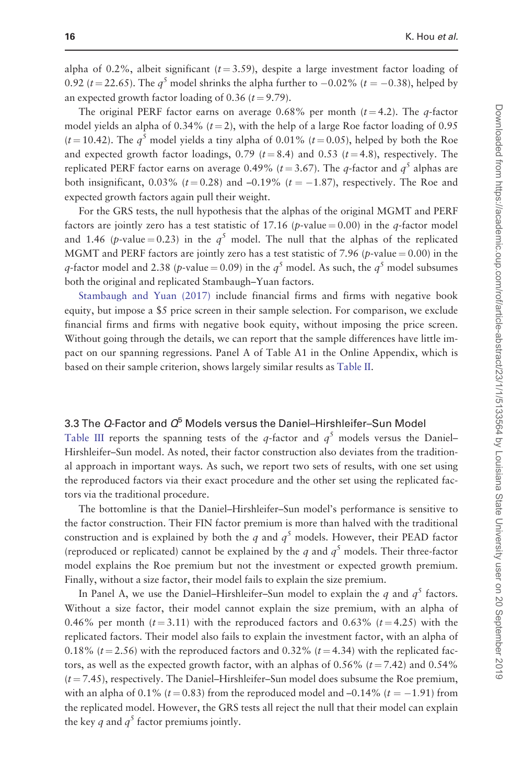alpha of 0.2%, albeit significant  $(t=3.59)$ , despite a large investment factor loading of 0.92 ( $t = 22.65$ ). The  $q^5$  model shrinks the alpha further to  $-0.02\%$  ( $t = -0.38$ ), helped by an expected growth factor loading of 0.36  $(t = 9.79)$ .

The original PERF factor earns on average 0.68% per month ( $t = 4.2$ ). The q-factor model yields an alpha of 0.34%  $(t = 2)$ , with the help of a large Roe factor loading of 0.95  $(t=10.42)$ . The  $q^5$  model yields a tiny alpha of 0.01%  $(t=0.05)$ , helped by both the Roe and expected growth factor loadings, 0.79 ( $t = 8.4$ ) and 0.53 ( $t = 4.8$ ), respectively. The replicated PERF factor earns on average 0.49% ( $t = 3.67$ ). The q-factor and  $q<sup>5</sup>$  alphas are both insignificant,  $0.03\%$  ( $t = 0.28$ ) and  $-0.19\%$  ( $t = -1.87$ ), respectively. The Roe and expected growth factors again pull their weight.

For the GRS tests, the null hypothesis that the alphas of the original MGMT and PERF factors are jointly zero has a test statistic of 17.16 (p-value = 0.00) in the q-factor model and 1.46 (p-value = 0.23) in the  $q^5$  model. The null that the alphas of the replicated MGMT and PERF factors are jointly zero has a test statistic of 7.96 (p-value =  $0.00$ ) in the q-factor model and 2.38 (p-value = 0.09) in the  $q^5$  model. As such, the  $q^5$  model subsumes both the original and replicated Stambaugh–Yuan factors.

[Stambaugh and Yuan \(2017\)](#page-34-0) include financial firms and firms with negative book equity, but impose a \$5 price screen in their sample selection. For comparison, we exclude financial firms and firms with negative book equity, without imposing the price screen. Without going through the details, we can report that the sample differences have little impact on our spanning regressions. Panel A of Table A1 in the Online Appendix, which is based on their sample criterion, shows largely similar results as [Table II.](#page-16-0)

# 3.3 The Q-Factor and  $Q^5$  Models versus the Daniel–Hirshleifer–Sun Model

[Table III](#page-18-0) reports the spanning tests of the q-factor and  $q<sup>5</sup>$  models versus the Daniel– Hirshleifer–Sun model. As noted, their factor construction also deviates from the traditional approach in important ways. As such, we report two sets of results, with one set using the reproduced factors via their exact procedure and the other set using the replicated factors via the traditional procedure.

The bottomline is that the Daniel–Hirshleifer–Sun model's performance is sensitive to the factor construction. Their FIN factor premium is more than halved with the traditional construction and is explained by both the q and  $q^5$  models. However, their PEAD factor (reproduced or replicated) cannot be explained by the q and  $q<sup>5</sup>$  models. Their three-factor model explains the Roe premium but not the investment or expected growth premium. Finally, without a size factor, their model fails to explain the size premium.

In Panel A, we use the Daniel–Hirshleifer–Sun model to explain the q and  $q^5$  factors. Without a size factor, their model cannot explain the size premium, with an alpha of 0.46% per month ( $t = 3.11$ ) with the reproduced factors and 0.63% ( $t = 4.25$ ) with the replicated factors. Their model also fails to explain the investment factor, with an alpha of 0.18% ( $t = 2.56$ ) with the reproduced factors and 0.32% ( $t = 4.34$ ) with the replicated factors, as well as the expected growth factor, with an alphas of  $0.56\%$  ( $t = 7.42$ ) and  $0.54\%$  $(t = 7.45)$ , respectively. The Daniel–Hirshleifer–Sun model does subsume the Roe premium, with an alpha of 0.1% ( $t = 0.83$ ) from the reproduced model and  $-0.14\%$  ( $t = -1.91$ ) from the replicated model. However, the GRS tests all reject the null that their model can explain the key q and  $q^5$  factor premiums jointly.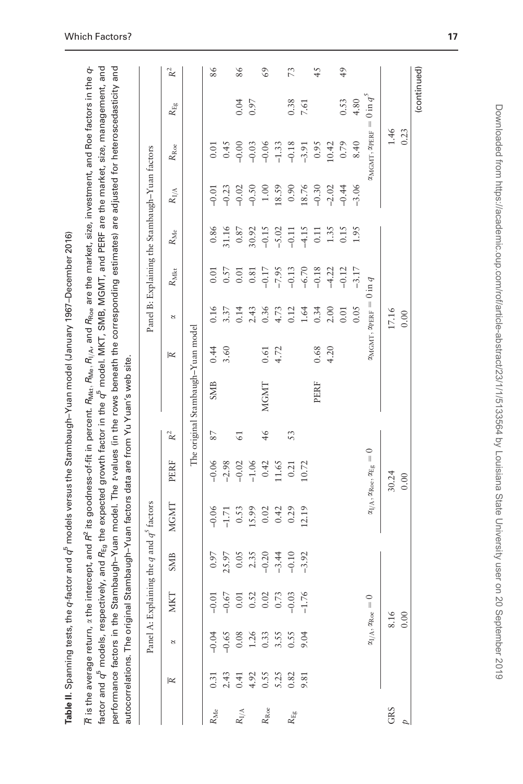|                 |      |         |                                                |            | Panel A: Explaining the q and q <sup>5</sup> factors |                                                                        |                 | autocorrelations. The original Stambaugh–Yuan factors data are from Yu Yuan's web site. |      |                           |               |                    | Panel B: Explaining the Stambaugh-Yuan factors |               |                 | performance factors in the Stambaugh–Yuan model. The t-values (in the rows beneath the corresponding estimates) are adjusted for heteroscedasticity and |
|-----------------|------|---------|------------------------------------------------|------------|------------------------------------------------------|------------------------------------------------------------------------|-----------------|-----------------------------------------------------------------------------------------|------|---------------------------|---------------|--------------------|------------------------------------------------|---------------|-----------------|---------------------------------------------------------------------------------------------------------------------------------------------------------|
|                 | Ŕ    | z       | <b>NIKT</b>                                    | <b>SMB</b> | MGMT                                                 | PERF                                                                   | $\rm R^2$       |                                                                                         | l≃   | $\approx$                 | $R_{\rm Mkt}$ | $R_{\rm Me}$       | $R_{I/A}$                                      | $R_{\rm Roc}$ | $R_{\text{Eg}}$ | $\mathbb{R}^2$                                                                                                                                          |
|                 |      |         |                                                |            |                                                      |                                                                        |                 | The original Stambaugh-Yuan model                                                       |      |                           |               |                    |                                                |               |                 |                                                                                                                                                         |
| $R_{\rm Me}$    | 0.31 | $-0.04$ | $-0.01$                                        | 0.97       | $-0.06$                                              | $-0.06$                                                                | 87              | <b>SMB</b>                                                                              | 0.44 | 0.16                      | 0.01          | 0.86               | $-0.01$                                        | 0.01          |                 | 86                                                                                                                                                      |
|                 | 2.43 | $-0.65$ | $-0.67$                                        | 25.97      | $-1.71$                                              | $-2.98$                                                                |                 |                                                                                         | 3.60 | 3.37                      | 0.57          | 31.16              | $-0.23$                                        | 0.45          |                 |                                                                                                                                                         |
| $R_{I/A}$       | 0.41 | 0.08    |                                                | 0.05       | 0.53                                                 | $-0.02$                                                                | $\overline{61}$ |                                                                                         |      | 0.14                      | 0.01          | 0.87               | $-0.02$                                        | $-0.00$       | 0.04            | 86                                                                                                                                                      |
|                 | 4.92 | 1.26    |                                                | 2.35       | 15.99                                                | $-1.06$                                                                |                 |                                                                                         |      | 2.43                      | 0.81          | 30.92              | $-0.50$                                        | $-0.03$       | 0.97            |                                                                                                                                                         |
| $R_{\rm Roc}$   | 0.55 | 0.33    | $0.52$<br>$0.52$<br>$0.02$<br>$0.73$<br>$0.03$ | $-0.20$    | 0.02                                                 | 0.42                                                                   | 46              | MGMT                                                                                    | 0.61 | 0.36                      | $-0.17$       | $-0.15$            | 1.00                                           | $-0.06$       |                 | 69                                                                                                                                                      |
|                 | 5.25 | 3.55    |                                                | $-3.44$    | 0.42                                                 | 11.65                                                                  |                 |                                                                                         | 4.72 | 4.73                      | $-7.95$       | $-5.02$<br>$-0.11$ | 18.59                                          | $-1.33$       |                 |                                                                                                                                                         |
| $R_{\rm Eg}$    | 0.82 | 0.55    |                                                | $-0.10$    | 0.29                                                 | 0.21                                                                   | 53              |                                                                                         |      | 0.12                      | $-0.13$       |                    | 0.90                                           | $-0.18$       | 0.38            | 73                                                                                                                                                      |
|                 | 9.81 | 9.04    | $-1.76$                                        | $-3.92$    | 12.19                                                | 0.72                                                                   |                 |                                                                                         |      | 1.64                      | $-6.70$       | $-4.15$            | 18.76                                          | $-3.91$       | 7.61            |                                                                                                                                                         |
|                 |      |         |                                                |            |                                                      |                                                                        |                 | PERF                                                                                    | 0.68 | 0.34                      | $-0.18$       | 0.11               | $-0.30$                                        | 0.95          |                 | 45                                                                                                                                                      |
|                 |      |         |                                                |            |                                                      |                                                                        |                 |                                                                                         | 4.20 | 2.00                      | $-4.22$       | 1.35               | $-2.02$                                        | 10.42         |                 |                                                                                                                                                         |
|                 |      |         |                                                |            |                                                      |                                                                        |                 |                                                                                         |      | 0.01                      | $-0.12$       | 0.15               | $-0.44$                                        | 0.79          | 0.53            | 49                                                                                                                                                      |
|                 |      |         |                                                |            |                                                      |                                                                        |                 |                                                                                         |      | 0.05                      | $-3.17$       | 1.95               | $-3.06$                                        | 8.40          | 4.80            |                                                                                                                                                         |
|                 |      |         | $\alpha_{\rm I/A}, \alpha_{\rm Roe} = 0$       |            |                                                      | $= 0$<br>$\alpha_{\rm I/\,A}$ , $\alpha_{\rm Roe}$ , $\alpha_{\rm Eq}$ |                 |                                                                                         |      | $x_{MGMT}$ , $x_{PERF}$ = | $0$ in $q$    |                    |                                                | XMGMT, ØPERF  | $= 0$ in $q^5$  |                                                                                                                                                         |
| GRS<br>$\sigma$ |      |         | 8.16<br>0.00                                   |            |                                                      | 30.24<br>0.00                                                          |                 |                                                                                         |      | 17.16<br>0.00             |               |                    |                                                | 1.46<br>0.23  |                 |                                                                                                                                                         |

Table II. Spanning tests, the q-factor and q<sup>5</sup> models versus the Stambaugh-Yuan model (January 1967-December 2016) Table II. Spanning tests, the q-factor and q5 models versus the Stambaugh–Yuan model (January 1967–December 2016)

<span id="page-16-0"></span>Which Factors? 17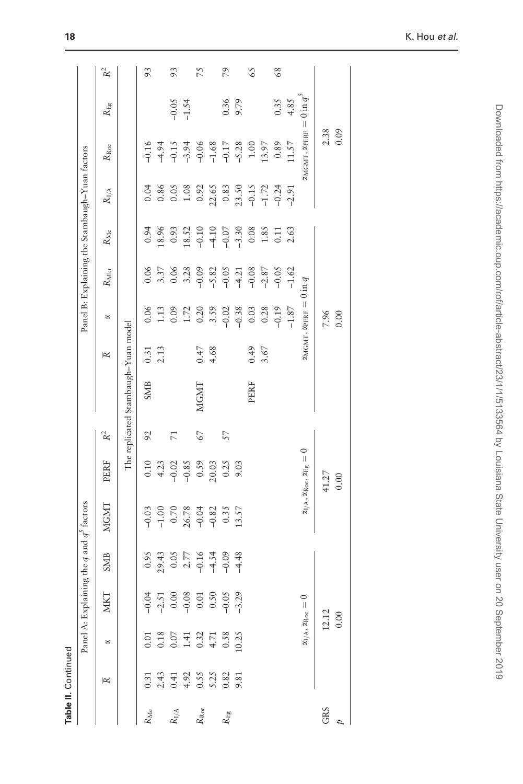|                 |      |                                                                                                 |                                                                                                                                                                                                                                                                                | Panel A: Explaining the $q$ and $q^3$ factors  |                                                     |                                                       |                |                                     |      |                                         |                                                                                                |              | Panel B: Explaining the Stambaugh-Yuan factors                                                                                                                                                                                                                                                                                            |                                                                                    |                    |           |
|-----------------|------|-------------------------------------------------------------------------------------------------|--------------------------------------------------------------------------------------------------------------------------------------------------------------------------------------------------------------------------------------------------------------------------------|------------------------------------------------|-----------------------------------------------------|-------------------------------------------------------|----------------|-------------------------------------|------|-----------------------------------------|------------------------------------------------------------------------------------------------|--------------|-------------------------------------------------------------------------------------------------------------------------------------------------------------------------------------------------------------------------------------------------------------------------------------------------------------------------------------------|------------------------------------------------------------------------------------|--------------------|-----------|
|                 | İΚ   | 8                                                                                               | MK.                                                                                                                                                                                                                                                                            | SMB                                            | MGMT                                                | PERF                                                  | $R^2$          |                                     | İΚ   | $\alpha$                                | $R_{\rm Mkt}$                                                                                  | $R_{\rm Me}$ | $R_{\rm I/A}$                                                                                                                                                                                                                                                                                                                             | $R_{\rm Rec}$                                                                      | $R_{\text{Eg}}$    | $\rm R^2$ |
|                 |      |                                                                                                 |                                                                                                                                                                                                                                                                                |                                                |                                                     |                                                       |                | The replicated Stambaugh-Yuan model |      |                                         |                                                                                                |              |                                                                                                                                                                                                                                                                                                                                           |                                                                                    |                    |           |
| $R_{\text{Me}}$ | 0.31 |                                                                                                 |                                                                                                                                                                                                                                                                                | 0.95                                           |                                                     | 0.10                                                  | 92             | SMB                                 | 0.31 | 0.06                                    | 0.06                                                                                           | 0.94         | 0.04                                                                                                                                                                                                                                                                                                                                      | $-0.16$                                                                            |                    | 93        |
|                 |      |                                                                                                 |                                                                                                                                                                                                                                                                                |                                                |                                                     | 4.23                                                  |                |                                     | 2.13 | 1.13                                    |                                                                                                | 18.96        |                                                                                                                                                                                                                                                                                                                                           |                                                                                    |                    |           |
| $R_{\rm I/A}$   |      |                                                                                                 |                                                                                                                                                                                                                                                                                |                                                |                                                     |                                                       | $\overline{7}$ |                                     |      | 0.09                                    | 3.37<br>0.06                                                                                   |              |                                                                                                                                                                                                                                                                                                                                           |                                                                                    |                    | 93        |
|                 |      |                                                                                                 |                                                                                                                                                                                                                                                                                |                                                |                                                     |                                                       |                |                                     |      | 1.72                                    |                                                                                                |              |                                                                                                                                                                                                                                                                                                                                           |                                                                                    | $-0.05$<br>$-1.54$ |           |
| $R_{\rm Rec}$   |      |                                                                                                 |                                                                                                                                                                                                                                                                                |                                                |                                                     | $-0.02$<br>$-0.85$<br>0.59                            | 67             | <b>MGMT</b>                         | 0.47 | 0.20                                    |                                                                                                |              |                                                                                                                                                                                                                                                                                                                                           |                                                                                    |                    | 75        |
|                 |      |                                                                                                 |                                                                                                                                                                                                                                                                                |                                                |                                                     | 20.03                                                 |                |                                     | 4.68 | 3.59                                    |                                                                                                |              |                                                                                                                                                                                                                                                                                                                                           |                                                                                    |                    |           |
| $R_{\text{Eg}}$ |      | $\begin{array}{c} 0.01 \\ 0.18 \\ 0.07 \\ 1.41 \\ 0.32 \\ 4.71 \\ 0.32 \\ 0.025 \\ \end{array}$ | $\begin{array}{cccc}\n 3.51 & 0.00 & 0.00 & 0.00 & 0.00 & 0.00 & 0.00 & 0.00 & 0.00 & 0.00 & 0.00 & 0.00 & 0.00 & 0.00 & 0.00 & 0.00 & 0.00 & 0.00 & 0.00 & 0.00 & 0.00 & 0.00 & 0.00 & 0.00 & 0.00 & 0.00 & 0.00 & 0.00 & 0.00 & 0.00 & 0.00 & 0.00 & 0.00 & 0.00 & 0.00 & 0$ | $29.43$<br>0.05<br>2.77<br>4.54<br>4.99<br>4.4 | $-0.03$<br>$-1.00$<br>$-0.78$<br>$-0.82$<br>$-0.35$ | 0.25                                                  | 57             |                                     |      | $-0.02$                                 | $\begin{array}{c}\n 3.28 \\  -0.09 \\  -5.82 \\  -4.21 \\  -0.08 \\  \hline\n 1\n \end{array}$ |              | $\begin{array}{c} 0.86 \\ 0.05 \\ 1.08 \\ 0.92 \\ 0.34 \\ 0.33 \\ 0.35 \\ 0.45 \\ -1.72 \\ -1.74 \\ -1.74 \\ -1.74 \\ -1.74 \\ -1.74 \\ -1.74 \\ -1.74 \\ -1.74 \\ -1.74 \\ -1.74 \\ -1.74 \\ -1.74 \\ -1.74 \\ -1.75 \\ -1.75 \\ -1.75 \\ -1.75 \\ -1.75 \\ -1.75 \\ -1.75 \\ -1.75 \\ -1.75 \\ -1.75 \\ -1.75 \\ -1.75 \\ -1.75 \\ -1.$ | $4.94$<br>$-0.15$<br>$-0.06$<br>$-1.68$<br>$-1.78$<br>$-1.68$<br>$-1.28$<br>$-1.0$ |                    | 79        |
|                 |      |                                                                                                 |                                                                                                                                                                                                                                                                                |                                                | 13.57                                               | 9.03                                                  |                |                                     |      | $-0.38$                                 |                                                                                                |              |                                                                                                                                                                                                                                                                                                                                           |                                                                                    | $0.36$<br>9.79     |           |
|                 |      |                                                                                                 |                                                                                                                                                                                                                                                                                |                                                |                                                     |                                                       |                | PERF                                | 0.49 | 0.03                                    |                                                                                                |              |                                                                                                                                                                                                                                                                                                                                           |                                                                                    |                    | 65        |
|                 |      |                                                                                                 |                                                                                                                                                                                                                                                                                |                                                |                                                     |                                                       |                |                                     | 3.67 | 0.28                                    |                                                                                                |              |                                                                                                                                                                                                                                                                                                                                           | 13.97                                                                              |                    |           |
|                 |      |                                                                                                 |                                                                                                                                                                                                                                                                                |                                                |                                                     |                                                       |                |                                     |      | $-0.19$                                 | $-0.05$                                                                                        |              |                                                                                                                                                                                                                                                                                                                                           | 0.89                                                                               | 0.35               | 68        |
|                 |      |                                                                                                 |                                                                                                                                                                                                                                                                                |                                                |                                                     |                                                       |                |                                     |      | $-1.87$                                 | $-1.62$                                                                                        | 2.63         | $-2.91$                                                                                                                                                                                                                                                                                                                                   | 11.57                                                                              | 4.85               |           |
|                 |      |                                                                                                 | $\alpha_{I/A}, \alpha_{Roe} = 0$                                                                                                                                                                                                                                               |                                                |                                                     | $\alpha_{\rm I/A},\alpha_{\rm Roe},\alpha_{\rm Eg}=0$ |                |                                     |      | $\alpha_{MGMT}, \alpha_{PERF} = 0$ in q |                                                                                                |              |                                                                                                                                                                                                                                                                                                                                           | $\alpha_{\text{MGMT}}, \alpha_{\text{PERF}} = 0$ in $q^3$                          |                    |           |
| <b>GRS</b>      |      |                                                                                                 | 12.12                                                                                                                                                                                                                                                                          |                                                |                                                     | 41.27                                                 |                |                                     |      | 7.96                                    |                                                                                                |              |                                                                                                                                                                                                                                                                                                                                           | 2.38                                                                               |                    |           |
|                 |      |                                                                                                 | 0.00                                                                                                                                                                                                                                                                           |                                                |                                                     | $0.00$                                                |                |                                     |      | 0.00                                    |                                                                                                |              |                                                                                                                                                                                                                                                                                                                                           | 0.09                                                                               |                    |           |
|                 |      |                                                                                                 |                                                                                                                                                                                                                                                                                |                                                |                                                     |                                                       |                |                                     |      |                                         |                                                                                                |              |                                                                                                                                                                                                                                                                                                                                           |                                                                                    |                    |           |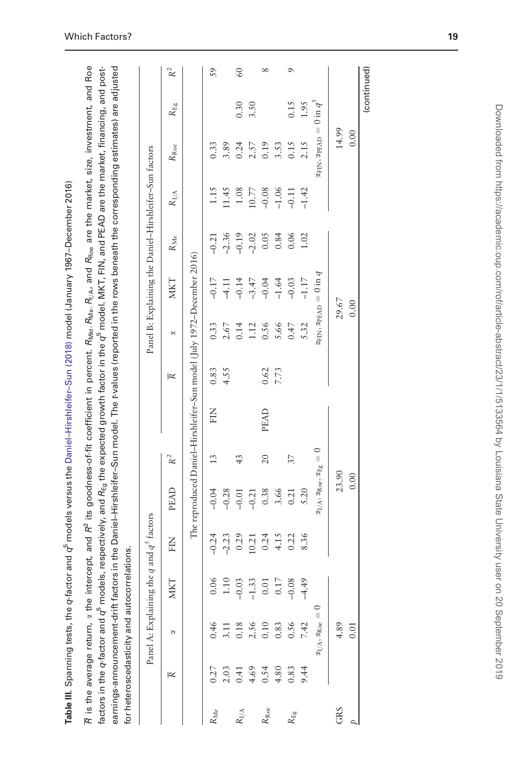|                     | $\frac{1}{2}$                       |
|---------------------|-------------------------------------|
|                     | ret size in                         |
| ć<br>$\overline{ }$ | tayıram ant air a                   |
|                     |                                     |
|                     | $\ddot{\phantom{0}}$                |
|                     |                                     |
|                     |                                     |
|                     | - 1<br>C<br>C<br>C<br>C             |
|                     | efficient in nercent                |
|                     |                                     |
|                     |                                     |
|                     |                                     |
|                     | $\frac{1}{2}$                       |
|                     |                                     |
|                     |                                     |
|                     | Ï                                   |
|                     | t and R <sup>e</sup> its mondinass. |
| a tachar ar         | $+0.400 +$                          |
|                     |                                     |
|                     |                                     |
|                     | hot: not: no and the int            |
|                     |                                     |
|                     | くらいこ                                |
| Table III Ca        | Risthea                             |
|                     |                                     |

<span id="page-18-0"></span>

|                                     |            | Panel A: Explaining the $q$ and $q^3$ factors |                                                                      |                |      |              |                                             |                                                                       |                                       | Panel B: Explaining the Daniel-Hirshleifer-Sun factors |                                                      |                 |           |
|-------------------------------------|------------|-----------------------------------------------|----------------------------------------------------------------------|----------------|------|--------------|---------------------------------------------|-----------------------------------------------------------------------|---------------------------------------|--------------------------------------------------------|------------------------------------------------------|-----------------|-----------|
| S                                   | IKT<br>≍   | EIN                                           | PEAD                                                                 | R <sup>2</sup> |      | í≃           | $\boldsymbol{8}$                            | <b>MKT</b>                                                            | $R_{\rm Me}$                          | $R_{I/\Lambda}$                                        | $R_{\rm Roc}$                                        | $R_{\text{Eg}}$ | $\rm R^2$ |
|                                     |            |                                               |                                                                      |                |      |              |                                             | The reproduced Daniel-Hirshleifer-Sun model (July 1972-December 2016) |                                       |                                                        |                                                      |                 |           |
| 0.46                                | 0.06       | $-0.24$                                       |                                                                      | 13             | EN   | 0.83         | 0.33                                        | $-0.17$                                                               | $-0.21$                               | $1.15$                                                 | 0.33                                                 |                 | 59        |
| 3.11                                | $\ddot{0}$ | $-2.23$                                       |                                                                      |                |      | 4.55         | $2.67$<br>0.14                              |                                                                       |                                       | 11.45                                                  | 3.89                                                 |                 |           |
| $0.18\,$                            | $-0.03$    | 0.29                                          | $\begin{array}{c}\n 3.8 \\  -0.28 \\  -0.21 \\  -0.21\n \end{array}$ | 43             |      |              |                                             |                                                                       | $-2.36$<br>$-0.19$<br>$-2.02$<br>0.05 | $1.08\,$                                               | 0.24                                                 | 0.30            | 60        |
| 2.56                                | $-1.33$    | 10.21                                         |                                                                      |                |      |              | 1.12                                        |                                                                       |                                       | $10.77\,$                                              | $2.57$<br>0.19                                       | 3.50            |           |
| 0.10                                | 0.01       |                                               | 0.38                                                                 | 20             | PEAD |              | 0.56                                        |                                                                       |                                       | $-0.08$                                                |                                                      |                 | $\infty$  |
| 0.83<br>0.56                        | $0.17\,$   | $0.24$<br>4.15<br>0.22                        | 3.66                                                                 |                |      | 0.62<br>7.73 | 5.66<br>0.47                                |                                                                       | $0.84$<br>0.06                        | $-1.06$<br>$-0.11$                                     | 3.53                                                 |                 |           |
|                                     | $-0.08$    |                                               | 0.21                                                                 | 37             |      |              |                                             |                                                                       |                                       |                                                        | 0.15                                                 | 0.15            | ٩         |
| 7.42                                | $-4.49$    | 8.36                                          | 5.20                                                                 |                |      |              | 5.32                                        | $-1.17$                                                               | 1.02                                  | $-1.42$                                                | 2.15                                                 | 1.95            |           |
| $\alpha_{I/A}$ , $\alpha_{Roe}~=~0$ |            |                                               | $\alpha_{\rm I/A}, \alpha_{\rm Roe}, \alpha_{\rm Eg}=0$              |                |      |              | $\alpha_{\text{FIN}}, \alpha_{\text{PEAD}}$ | $= 0$ in $q$                                                          |                                       |                                                        | $\alpha_{\rm{FIN}}, \alpha_{\rm{PEAD}} = 0$ in $q^5$ |                 |           |
| 4.89                                |            |                                               | 23.90                                                                |                |      |              |                                             | 29.67                                                                 |                                       |                                                        | 14.99                                                |                 |           |
| 0.0                                 |            |                                               | 0.00                                                                 |                |      |              |                                             | 0.00                                                                  |                                       |                                                        | 0.00                                                 |                 |           |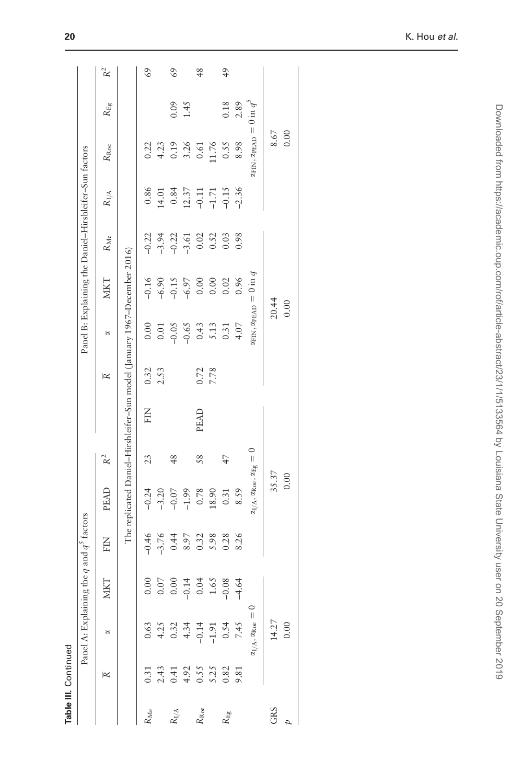| I |
|---|
|   |
| c |
|   |

|                  |                                      |                                                              | Panel A: Explaining the $q$ and $q^3$ factors |                |                                                         |       |                                                                          |              |         |                                                       |                               | Panel B: Explaining the Daniel-Hirshleifer-Sun factors |                                                                 |                 |                |
|------------------|--------------------------------------|--------------------------------------------------------------|-----------------------------------------------|----------------|---------------------------------------------------------|-------|--------------------------------------------------------------------------|--------------|---------|-------------------------------------------------------|-------------------------------|--------------------------------------------------------|-----------------------------------------------------------------|-----------------|----------------|
|                  | i∝                                   | 8                                                            | IКI                                           | EN             | PEAD                                                    | $R^2$ |                                                                          | İΚ           | S       | <b>MKT</b>                                            | R <sub>Me</sub>               | $R_{\rm I/A}$                                          | $R_{\rm Roc}$                                                   | $R_{\text{Eg}}$ | R <sup>2</sup> |
|                  |                                      |                                                              |                                               |                |                                                         |       | The replicated Daniel-Hirshleifer-Sun model (January 1967-December 2016) |              |         |                                                       |                               |                                                        |                                                                 |                 |                |
| R <sub>Me</sub>  | 0.31                                 | 0.63                                                         | 0.00                                          | $-0.46$        | $-0.24$                                                 | 23    | EN                                                                       | 0.32         | 0.00    | $-0.16$                                               | $-0.22$                       | 0.86                                                   | 0.22                                                            |                 | 69             |
|                  | 2.43                                 | 4.25                                                         | 0.07                                          | $-3.76$        | $-3.20$                                                 |       |                                                                          | 2.53         | 0.01    | $-6.90$                                               |                               | 14.01                                                  | 4.23                                                            |                 |                |
| $R_{\rm I/A}$    |                                      |                                                              | 0.00                                          | $0.44$<br>8.97 | $-0.07$                                                 | 48    |                                                                          |              | $-0.05$ | $-0.15$<br>-6.97                                      | $-3.94$<br>$-0.22$<br>$-3.61$ | 0.84                                                   | 0.19                                                            | 0.09            | 69             |
|                  |                                      |                                                              | $-0.14$                                       |                | $-1.99$                                                 |       |                                                                          |              |         |                                                       |                               | 12.37                                                  | 3.26                                                            | 1.45            |                |
| R <sub>Roe</sub> | $0.41$<br>$4.92$<br>$5.55$<br>$5.25$ | $0.32$<br>$4.34$<br>$-0.51$<br>$-1.91$<br>$-0.54$<br>$-1.91$ | 0.04                                          | 0.32           | 0.78                                                    | 58    | PEAD                                                                     |              | 0.43    | 0.00                                                  | 0.02                          | $-0.11$                                                | 0.61                                                            |                 | 48             |
|                  |                                      |                                                              | 1.65                                          | 5.98<br>0.28   | 18.90                                                   |       |                                                                          | 0.72<br>7.78 | 5.13    | 0.00                                                  | 0.52                          | $-1.71$                                                | 11.76                                                           |                 |                |
| K <sub>Eg</sub>  | 0.82                                 |                                                              | $-0.08$                                       |                | 0.31                                                    | 47    |                                                                          |              |         | 0.02                                                  | 0.03                          | $-0.15$                                                | 0.55                                                            | 0.18            | 49             |
|                  | 9.81                                 |                                                              | $-4.64$                                       | 8.26           | 8.59                                                    |       |                                                                          |              | 4.07    | 0.96                                                  | 0.98                          | $-2.36$                                                | 8.98                                                            | 2.89            |                |
|                  |                                      | $\alpha_{I/A}$ , $\alpha_{Roe}$ $=$ $0$                      |                                               |                | $\alpha_{\rm I/A}, \alpha_{\rm Roe}, \alpha_{\rm Eg}=0$ |       |                                                                          |              |         | $\alpha_{\text{FIN}}, \alpha_{\text{PERAD}} = 0$ in q |                               |                                                        | $\alpha_{\text{FIN}}, \alpha_{\text{PEAD}} = 0 \text{ in } q^5$ |                 |                |
| GRS              |                                      | 14.27<br>3.0C                                                |                                               |                | 35.37<br>0.00                                           |       |                                                                          |              |         | 20.44<br>0.00                                         |                               |                                                        | 8.67<br>0.00                                                    |                 |                |
|                  |                                      |                                                              |                                               |                |                                                         |       |                                                                          |              |         |                                                       |                               |                                                        |                                                                 |                 |                |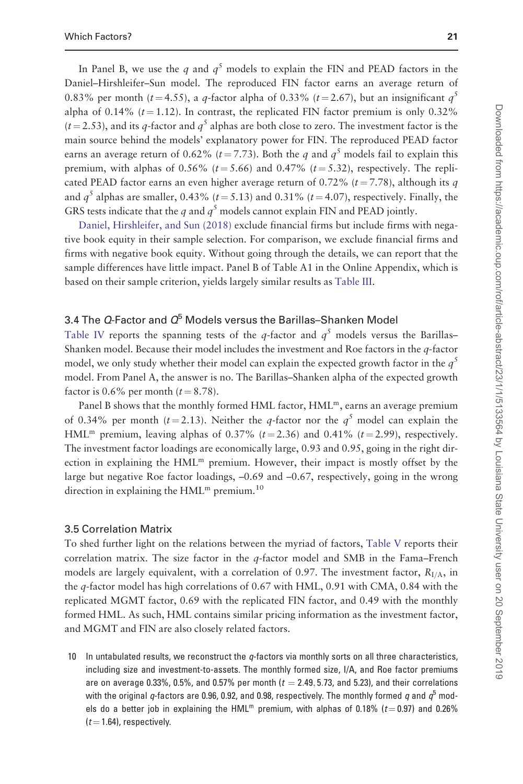In Panel B, we use the q and  $q^5$  models to explain the FIN and PEAD factors in the Daniel–Hirshleifer–Sun model. The reproduced FIN factor earns an average return of 0.83% per month (t=4.55), a q-factor alpha of 0.33% (t=2.67), but an insignificant  $q^5$ alpha of 0.14% ( $t = 1.12$ ). In contrast, the replicated FIN factor premium is only 0.32%  $(t=2.53)$ , and its q-factor and  $q<sup>5</sup>$  alphas are both close to zero. The investment factor is the main source behind the models' explanatory power for FIN. The reproduced PEAD factor earns an average return of 0.62% ( $t = 7.73$ ). Both the q and  $q<sup>5</sup>$  models fail to explain this premium, with alphas of 0.56% ( $t = 5.66$ ) and 0.47% ( $t = 5.32$ ), respectively. The replicated PEAD factor earns an even higher average return of 0.72% ( $t = 7.78$ ), although its q and  $q^5$  alphas are smaller, 0.43% ( $t = 5.13$ ) and 0.31% ( $t = 4.07$ ), respectively. Finally, the GRS tests indicate that the q and  $q^5$  models cannot explain FIN and PEAD jointly.

[Daniel, Hirshleifer, and Sun \(2018\)](#page-32-0) exclude financial firms but include firms with negative book equity in their sample selection. For comparison, we exclude financial firms and firms with negative book equity. Without going through the details, we can report that the sample differences have little impact. Panel B of Table A1 in the Online Appendix, which is based on their sample criterion, yields largely similar results as [Table III.](#page-18-0)

# 3.4 The Q-Factor and  $Q^5$  Models versus the Barillas–Shanken Model

[Table IV](#page-21-0) reports the spanning tests of the q-factor and  $q<sup>5</sup>$  models versus the Barillas– Shanken model. Because their model includes the investment and Roe factors in the  $q$ -factor model, we only study whether their model can explain the expected growth factor in the  $q<sup>5</sup>$ model. From Panel A, the answer is no. The Barillas–Shanken alpha of the expected growth factor is 0.6% per month  $(t = 8.78)$ .

Panel B shows that the monthly formed HML factor,  $HML^m$ , earns an average premium of 0.34% per month (t=2.13). Neither the q-factor nor the  $q^5$  model can explain the HML<sup>m</sup> premium, leaving alphas of 0.37% ( $t = 2.36$ ) and 0.41% ( $t = 2.99$ ), respectively. The investment factor loadings are economically large, 0.93 and 0.95, going in the right direction in explaining the  $HML^m$  premium. However, their impact is mostly offset by the large but negative Roe factor loadings, –0.69 and –0.67, respectively, going in the wrong direction in explaining the  $HML<sup>m</sup>$  premium.<sup>10</sup>

#### 3.5 Correlation Matrix

To shed further light on the relations between the myriad of factors, [Table V](#page-22-0) reports their correlation matrix. The size factor in the  $q$ -factor model and SMB in the Fama–French models are largely equivalent, with a correlation of 0.97. The investment factor,  $R_{I/A}$ , in the q-factor model has high correlations of 0.67 with HML, 0.91 with CMA, 0.84 with the replicated MGMT factor, 0.69 with the replicated FIN factor, and 0.49 with the monthly formed HML. As such, HML contains similar pricing information as the investment factor, and MGMT and FIN are also closely related factors.

10 In untabulated results, we reconstruct the  $q$ -factors via monthly sorts on all three characteristics, including size and investment-to-assets. The monthly formed size, I/A, and Roe factor premiums are on average 0.33%, 0.5%, and 0.57% per month ( $t = 2.49, 5.73$ , and 5.23), and their correlations with the original q-factors are 0.96, 0.92, and 0.98, respectively. The monthly formed q and  $q<sup>5</sup>$  models do a better job in explaining the HML<sup>m</sup> premium, with alphas of 0.18% ( $t = 0.97$ ) and 0.26%  $(t = 1.64)$ , respectively.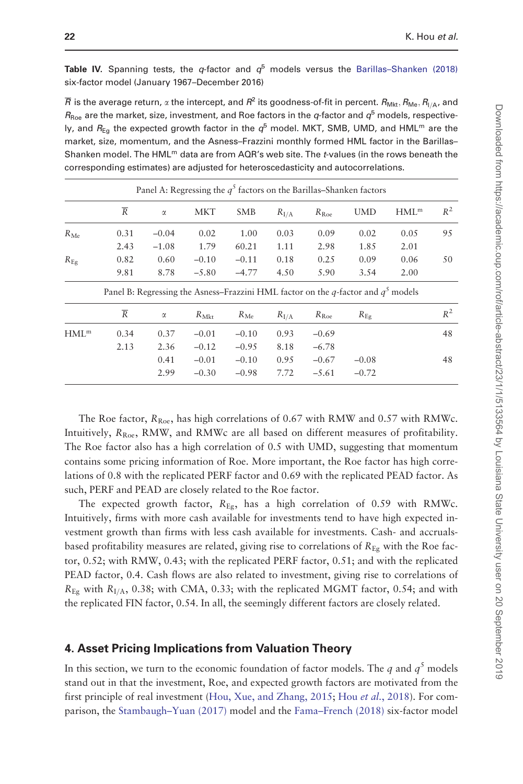<span id="page-21-0"></span>Table IV. Spanning tests, the q-factor and  $q^5$  models versus the [Barillas–Shanken \(2018\)](#page-32-0) six-factor model (January 1967–December 2016)

 $\overline{R}$  is the average return,  $\alpha$  the intercept, and  $R^2$  its goodness-of-fit in percent.  $R_{Mkt}, R_{Me}, R_{I/A}$ , and  $R_{\text{Roe}}$  are the market, size, investment, and Roe factors in the q-factor and  $q^5$  models, respectively, and  $R_{\text{Eq}}$  the expected growth factor in the  $q^5$  model. MKT, SMB, UMD, and HML<sup>m</sup> are the market, size, momentum, and the Asness–Frazzini monthly formed HML factor in the Barillas– Shanken model. The HML<sup>m</sup> data are from AQR's web site. The t-values (in the rows beneath the corresponding estimates) are adjusted for heteroscedasticity and autocorrelations.

|                  |                |          |               | Panel A: Regressing the $q^5$ factors on the Barillas–Shanken factors                       |           |                  |                 |                  |       |
|------------------|----------------|----------|---------------|---------------------------------------------------------------------------------------------|-----------|------------------|-----------------|------------------|-------|
|                  | $\overline{R}$ | $\alpha$ | <b>MKT</b>    | <b>SMB</b>                                                                                  | $R_{I/A}$ | $R_{\text{Roe}}$ | <b>UMD</b>      | HML <sup>m</sup> | $R^2$ |
| $R_{\text{Me}}$  | 0.31           | $-0.04$  | 0.02          | 1.00                                                                                        | 0.03      | 0.09             | 0.02            | 0.05             | 95    |
|                  | 2.43           | $-1.08$  | 1.79          | 60.21                                                                                       | 1.11      | 2.98             | 1.85            | 2.01             |       |
| $R_{\text{Eg}}$  | 0.82           | 0.60     | $-0.10$       | $-0.11$                                                                                     | 0.18      | 0.25             | 0.09            | 0.06             | 50    |
|                  | 9.81           | 8.78     | $-5.80$       | $-4.77$                                                                                     | 4.50      | 5.90             | 3.54            | 2.00             |       |
|                  |                |          |               | Panel B: Regressing the Asness–Frazzini HML factor on the <i>q</i> -factor and $q^3$ models |           |                  |                 |                  |       |
|                  | $\overline{R}$ | $\alpha$ | $R_{\rm Mkt}$ | $R_{\text{Me}}$                                                                             | $R_{I/A}$ | $R_{\text{Roe}}$ | $R_{\text{Eg}}$ |                  | $R^2$ |
| HML <sup>m</sup> | 0.34           | 0.37     | $-0.01$       | $-0.10$                                                                                     | 0.93      | $-0.69$          |                 |                  | 48    |
|                  | 2.13           | 2.36     | $-0.12$       | $-0.95$                                                                                     | 8.18      | $-6.78$          |                 |                  |       |
|                  |                | 0.41     | $-0.01$       | $-0.10$                                                                                     | 0.95      | $-0.67$          | $-0.08$         |                  | 48    |
|                  |                | 2.99     | $-0.30$       | $-0.98$                                                                                     | 7.72      | $-5.61$          | $-0.72$         |                  |       |

The Roe factor,  $R_{\text{Roe}}$ , has high correlations of 0.67 with RMW and 0.57 with RMWc. Intuitively,  $R_{\text{Roe}}$ , RMW, and RMWc are all based on different measures of profitability. The Roe factor also has a high correlation of 0.5 with UMD, suggesting that momentum contains some pricing information of Roe. More important, the Roe factor has high correlations of 0.8 with the replicated PERF factor and 0.69 with the replicated PEAD factor. As such, PERF and PEAD are closely related to the Roe factor.

The expected growth factor,  $R_{Eg}$ , has a high correlation of 0.59 with RMWc. Intuitively, firms with more cash available for investments tend to have high expected investment growth than firms with less cash available for investments. Cash- and accrualsbased profitability measures are related, giving rise to correlations of  $R_{\text{Eg}}$  with the Roe factor, 0.52; with RMW, 0.43; with the replicated PERF factor, 0.51; and with the replicated PEAD factor, 0.4. Cash flows are also related to investment, giving rise to correlations of  $R_{\text{Eg}}$  with  $R_{\text{I/A}}$ , 0.38; with CMA, 0.33; with the replicated MGMT factor, 0.54; and with the replicated FIN factor, 0.54. In all, the seemingly different factors are closely related.

# 4. Asset Pricing Implications from Valuation Theory

In this section, we turn to the economic foundation of factor models. The q and  $q<sup>5</sup>$  models stand out in that the investment, Roe, and expected growth factors are motivated from the first principle of real investment ([Hou, Xue, and Zhang, 2015](#page-33-0); Hou et al.[, 2018\)](#page-33-0). For comparison, the [Stambaugh–Yuan \(2017\)](#page-34-0) model and the [Fama–French \(2018\)](#page-33-0) six-factor model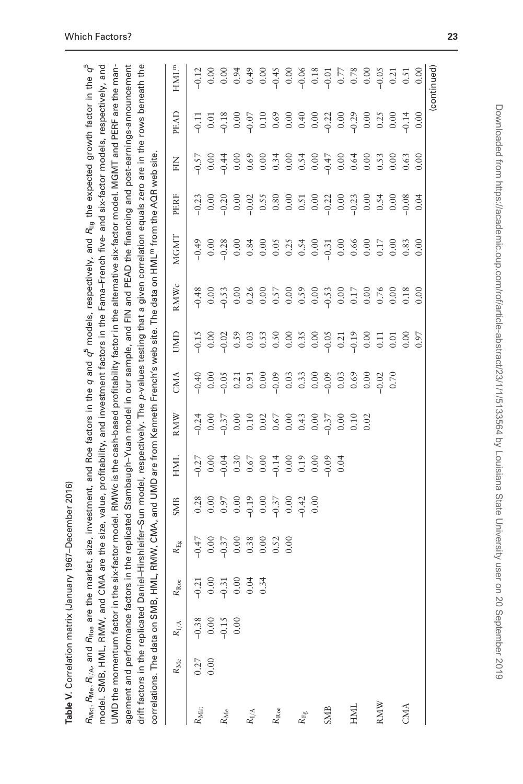<span id="page-22-0"></span>

| $R_{\rm M\acute{e}}$<br>0.00<br>0.27 | $-0.38$<br>$0.00$<br>-0.15<br>0.00<br>$R_{I/\mathrm{A}}$ | $-0.31$<br>$-0.31$<br>$-0.00$<br>$0.04$<br>$0.34$<br>$R_{\rm Roe}$ | $0.00$<br>0.07<br>$-0.47$<br>$R_{\,\mathrm{Eg}}$ | $\begin{array}{c} 0.38 \\ 0.90 \\ 0.90 \\ 0.90 \\ 0.90 \\ 0.90 \\ 0.90 \\ 0.90 \\ 0.90 \\ 0.90 \\ 0.90 \\ 0.90 \\ 0.90 \\ 0.90 \\ 0.90 \\ 0.90 \\ 0.90 \\ 0.90 \\ 0.90 \\ 0.90 \\ 0.90 \\ 0.90 \\ 0.90 \\ 0.90 \\ 0.90 \\ 0.90 \\ 0.90 \\ 0.90 \\ 0.90 \\ 0.90 \\ 0.90 \\ 0.90 \\ 0.90 \\ 0.90 \\ 0.90 \\ 0.$<br>SMB | HML           | <b>RMW</b>   | CMA  | UMD<br>$-0.15$ | $\text{RMWc}$<br>$-0.48$<br>$0.00$<br>$-0.53$<br>$0.00$ | drift factors in the replicated Daniel–Hirshleifer–Sun model, respectively. The p-values testing that a given correlation equals zero are in the rows beneath the<br>agement and performance factors in the replicated Stambaugh-Yuan model in our sample, and FIN and PEAD the financing and post-earnings-announcement<br>correlations. The data on SMB, HML, RMW, CMA, and UMD are from Kenneth French's web site. The data on HML <sup>m</sup> from the AQR web site.<br><b>MGMT</b><br>$-0.49$<br>0.00 | PERF<br>$-0.23$ | $-0.57$<br>FIN             | PEAD<br>$-0.11$ | $HML^m$<br>$-0.12$<br>0.00 |
|--------------------------------------|----------------------------------------------------------|--------------------------------------------------------------------|--------------------------------------------------|----------------------------------------------------------------------------------------------------------------------------------------------------------------------------------------------------------------------------------------------------------------------------------------------------------------------|---------------|--------------|------|----------------|---------------------------------------------------------|-------------------------------------------------------------------------------------------------------------------------------------------------------------------------------------------------------------------------------------------------------------------------------------------------------------------------------------------------------------------------------------------------------------------------------------------------------------------------------------------------------------|-----------------|----------------------------|-----------------|----------------------------|
|                                      |                                                          |                                                                    | $0.38$<br>$0.00$<br>$0.52$<br>0.00               |                                                                                                                                                                                                                                                                                                                      |               |              |      |                |                                                         |                                                                                                                                                                                                                                                                                                                                                                                                                                                                                                             |                 |                            |                 |                            |
|                                      |                                                          |                                                                    |                                                  | 0.00                                                                                                                                                                                                                                                                                                                 | 60.05<br>0.04 |              |      |                |                                                         |                                                                                                                                                                                                                                                                                                                                                                                                                                                                                                             |                 |                            |                 |                            |
|                                      |                                                          |                                                                    |                                                  |                                                                                                                                                                                                                                                                                                                      |               | 0.10<br>0.02 | 0.00 |                |                                                         | $0.00$<br>0.17                                                                                                                                                                                                                                                                                                                                                                                                                                                                                              |                 | $0.00$<br>$0.53$<br>$0.00$ |                 |                            |
|                                      |                                                          |                                                                    |                                                  |                                                                                                                                                                                                                                                                                                                      |               |              | 0.70 | $0.00$<br>0.97 |                                                         | 0.00<br>0.83                                                                                                                                                                                                                                                                                                                                                                                                                                                                                                | 0.04<br>0.08    | 0.00<br>0.63               | 0.00<br>$-0.14$ | 0.00                       |

Table V. Correlation matrix (January 1967–December 2016)

Table V. Correlation matrix (January 1967-December 2016)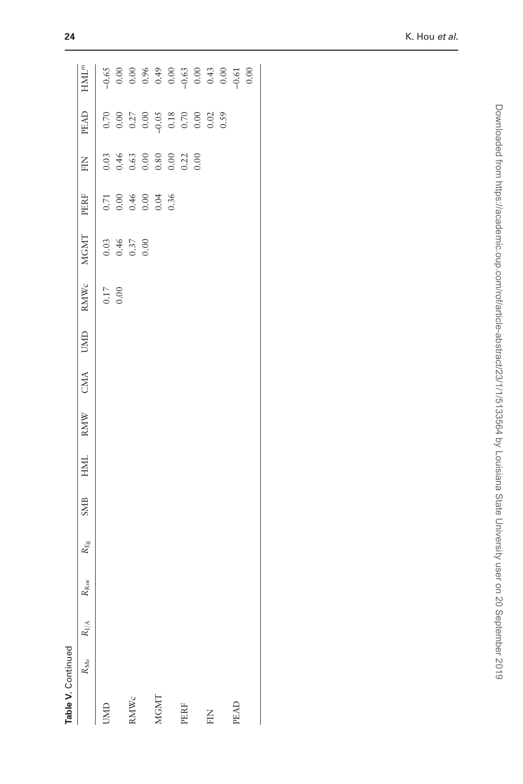| Table V. Continued |              |               |      |          |            |            |            |     |     |                |                                      |      |     |      |                  |
|--------------------|--------------|---------------|------|----------|------------|------------|------------|-----|-----|----------------|--------------------------------------|------|-----|------|------------------|
|                    | $R_{\rm Me}$ | $R_{\rm I/A}$ | VRoe | $R_{Eg}$ | <b>SMB</b> | <b>HML</b> | <b>RMW</b> | CMA | UMD | RMWc           | <b>MGMT</b>                          | PERF | EIN | PEAD | HML <sup>m</sup> |
| UMD                |              |               |      |          |            |            |            |     |     | $0.17$<br>0.00 |                                      |      |     |      |                  |
|                    |              |               |      |          |            |            |            |     |     |                |                                      |      |     |      |                  |
| RMWc               |              |               |      |          |            |            |            |     |     |                | $0.03$<br>$0.46$<br>$0.37$<br>$0.00$ |      |     |      |                  |
|                    |              |               |      |          |            |            |            |     |     |                |                                      |      |     |      |                  |
| <b>MGMT</b>        |              |               |      |          |            |            |            |     |     |                |                                      |      |     |      |                  |
|                    |              |               |      |          |            |            |            |     |     |                |                                      |      |     |      |                  |
| PERF               |              |               |      |          |            |            |            |     |     |                |                                      |      |     |      |                  |
|                    |              |               |      |          |            |            |            |     |     |                |                                      |      |     |      |                  |
| EN                 |              |               |      |          |            |            |            |     |     |                |                                      |      |     |      |                  |
|                    |              |               |      |          |            |            |            |     |     |                |                                      |      |     |      |                  |
| PEAD               |              |               |      |          |            |            |            |     |     |                |                                      |      |     |      |                  |
|                    |              |               |      |          |            |            |            |     |     |                |                                      |      |     |      |                  |
|                    |              |               |      |          |            |            |            |     |     |                |                                      |      |     |      |                  |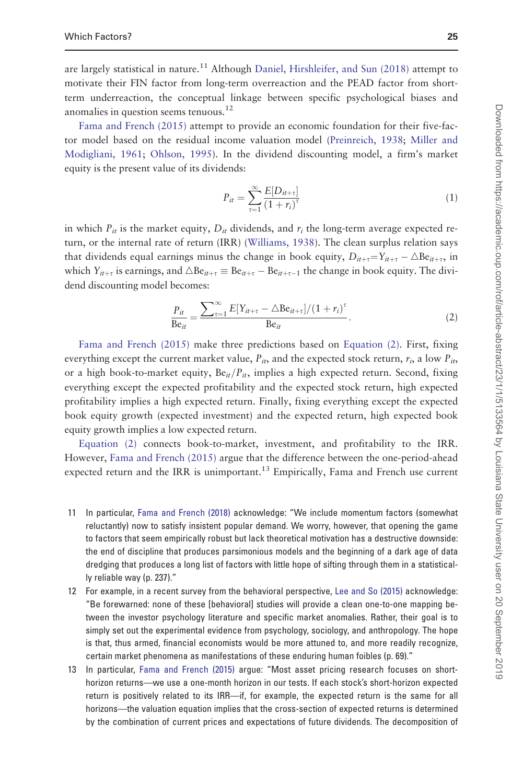<span id="page-24-0"></span>are largely statistical in nature.<sup>11</sup> Although [Daniel, Hirshleifer, and Sun \(2018\)](#page-32-0) attempt to motivate their FIN factor from long-term overreaction and the PEAD factor from shortterm underreaction, the conceptual linkage between specific psychological biases and anomalies in question seems tenuous.<sup>12</sup>

[Fama and French \(2015\)](#page-33-0) attempt to provide an economic foundation for their five-factor model based on the residual income valuation model [\(Preinreich, 1938](#page-34-0); [Miller and](#page-33-0) [Modigliani, 1961;](#page-33-0) [Ohlson, 1995](#page-33-0)). In the dividend discounting model, a firm's market equity is the present value of its dividends:

$$
P_{it} = \sum_{\tau=1}^{\infty} \frac{E[D_{it+\tau}]}{(1+r_i)^{\tau}}
$$
(1)

in which  $P_{it}$  is the market equity,  $D_{it}$  dividends, and  $r_i$  the long-term average expected return, or the internal rate of return (IRR) ([Williams, 1938](#page-34-0)). The clean surplus relation says that dividends equal earnings minus the change in book equity,  $D_{it+\tau} = Y_{it+\tau} - \Delta B \mathbf{e}_{it+\tau}$ , in which  $Y_{it+\tau}$  is earnings, and  $\triangle Be_{it+\tau} \equiv Be_{it+\tau} - Be_{it+\tau-1}$  the change in book equity. The dividend discounting model becomes:

$$
\frac{P_{it}}{\text{Be}_{it}} = \frac{\sum_{\tau=1}^{\infty} E[Y_{it+\tau} - \triangle \text{Be}_{it+\tau}]/(1+r_i)^{\tau}}{\text{Be}_{it}}.
$$
 (2)

[Fama and French \(2015\)](#page-33-0) make three predictions based on Equation (2). First, fixing everything except the current market value,  $P_{it}$ , and the expected stock return,  $r_i$ , a low  $P_{it}$ , or a high book-to-market equity,  $Be_{it}/P_{it}$ , implies a high expected return. Second, fixing everything except the expected profitability and the expected stock return, high expected profitability implies a high expected return. Finally, fixing everything except the expected book equity growth (expected investment) and the expected return, high expected book equity growth implies a low expected return.

Equation (2) connects book-to-market, investment, and profitability to the IRR. However, [Fama and French \(2015\)](#page-33-0) argue that the difference between the one-period-ahead expected return and the IRR is unimportant.<sup>13</sup> Empirically, Fama and French use current

- 11 In particular, [Fama and French \(2018\)](#page-33-0) acknowledge: "We include momentum factors (somewhat reluctantly) now to satisfy insistent popular demand. We worry, however, that opening the game to factors that seem empirically robust but lack theoretical motivation has a destructive downside: the end of discipline that produces parsimonious models and the beginning of a dark age of data dredging that produces a long list of factors with little hope of sifting through them in a statistically reliable way (p. 237)."
- 12 For example, in a recent survey from the behavioral perspective, [Lee and So \(2015\)](#page-33-0) acknowledge: "Be forewarned: none of these [behavioral] studies will provide a clean one-to-one mapping between the investor psychology literature and specific market anomalies. Rather, their goal is to simply set out the experimental evidence from psychology, sociology, and anthropology. The hope is that, thus armed, financial economists would be more attuned to, and more readily recognize, certain market phenomena as manifestations of these enduring human foibles (p. 69)."
- 13 In particular, [Fama and French \(2015\)](#page-33-0) argue: "Most asset pricing research focuses on shorthorizon returns—we use a one-month horizon in our tests. If each stock's short-horizon expected return is positively related to its IRR—if, for example, the expected return is the same for all horizons—the valuation equation implies that the cross-section of expected returns is determined by the combination of current prices and expectations of future dividends. The decomposition of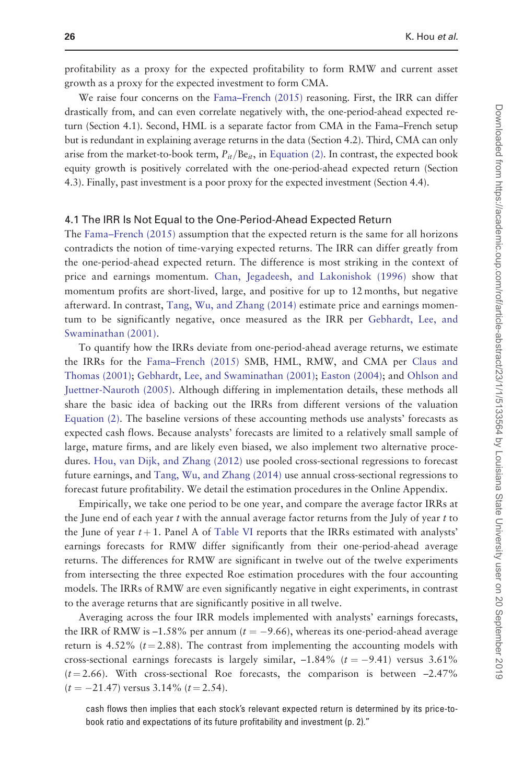profitability as a proxy for the expected profitability to form RMW and current asset growth as a proxy for the expected investment to form CMA.

We raise four concerns on the [Fama–French \(2015\)](#page-33-0) reasoning. First, the IRR can differ drastically from, and can even correlate negatively with, the one-period-ahead expected return (Section 4.1). Second, HML is a separate factor from CMA in the Fama–French setup but is redundant in explaining average returns in the data (Section 4.2). Third, CMA can only arise from the market-to-book term,  $P_{it}/Be_{it}$ , in [Equation \(2\).](#page-24-0) In contrast, the expected book equity growth is positively correlated with the one-period-ahead expected return (Section 4.3). Finally, past investment is a poor proxy for the expected investment (Section 4.4).

#### 4.1 The IRR Is Not Equal to the One-Period-Ahead Expected Return

The [Fama–French \(2015\)](#page-33-0) assumption that the expected return is the same for all horizons contradicts the notion of time-varying expected returns. The IRR can differ greatly from the one-period-ahead expected return. The difference is most striking in the context of price and earnings momentum. [Chan, Jegadeesh, and Lakonishok \(1996\)](#page-32-0) show that momentum profits are short-lived, large, and positive for up to 12 months, but negative afterward. In contrast, [Tang, Wu, and Zhang \(2014\)](#page-34-0) estimate price and earnings momentum to be significantly negative, once measured as the IRR per [Gebhardt, Lee, and](#page-33-0) [Swaminathan \(2001\)](#page-33-0).

To quantify how the IRRs deviate from one-period-ahead average returns, we estimate the IRRs for the [Fama–French \(2015\)](#page-33-0) SMB, HML, RMW, and CMA per [Claus and](#page-32-0) [Thomas \(2001\)](#page-32-0); [Gebhardt, Lee, and Swaminathan \(2001\);](#page-33-0) [Easton \(2004\);](#page-33-0) and [Ohlson and](#page-33-0) [Juettner-Nauroth \(2005\).](#page-33-0) Although differing in implementation details, these methods all share the basic idea of backing out the IRRs from different versions of the valuation [Equation \(2\)](#page-24-0). The baseline versions of these accounting methods use analysts' forecasts as expected cash flows. Because analysts' forecasts are limited to a relatively small sample of large, mature firms, and are likely even biased, we also implement two alternative procedures. [Hou, van Dijk, and Zhang \(2012\)](#page-33-0) use pooled cross-sectional regressions to forecast future earnings, and [Tang, Wu, and Zhang \(2014\)](#page-34-0) use annual cross-sectional regressions to forecast future profitability. We detail the estimation procedures in the Online Appendix.

Empirically, we take one period to be one year, and compare the average factor IRRs at the June end of each year  $t$  with the annual average factor returns from the July of year  $t$  to the June of year  $t + 1$ . Panel A of [Table VI](#page-26-0) reports that the IRRs estimated with analysts' earnings forecasts for RMW differ significantly from their one-period-ahead average returns. The differences for RMW are significant in twelve out of the twelve experiments from intersecting the three expected Roe estimation procedures with the four accounting models. The IRRs of RMW are even significantly negative in eight experiments, in contrast to the average returns that are significantly positive in all twelve.

Averaging across the four IRR models implemented with analysts' earnings forecasts, the IRR of RMW is  $-1.58\%$  per annum ( $t = -9.66$ ), whereas its one-period-ahead average return is 4.52%  $(t = 2.88)$ . The contrast from implementing the accounting models with cross-sectional earnings forecasts is largely similar,  $-1.84\%$  ( $t = -9.41$ ) versus 3.61%  $(t = 2.66)$ . With cross-sectional Roe forecasts, the comparison is between  $-2.47\%$  $(t = -21.47)$  versus 3.14%  $(t = 2.54)$ .

cash flows then implies that each stock's relevant expected return is determined by its price-tobook ratio and expectations of its future profitability and investment (p. 2)."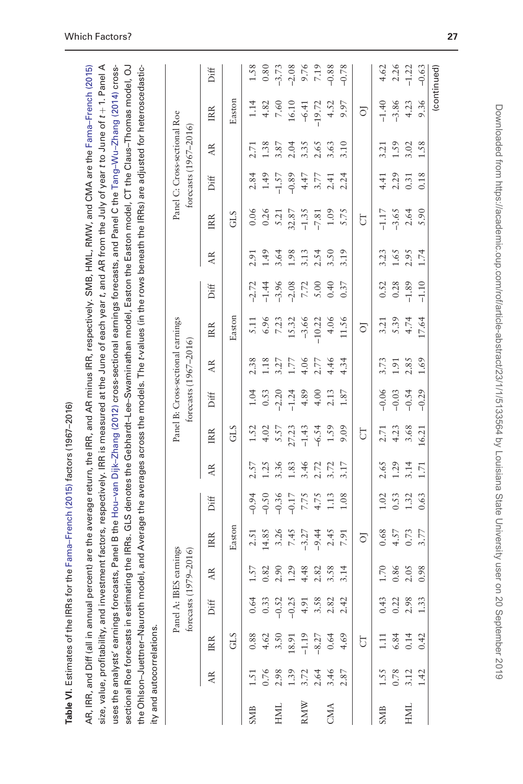|            |      | the Ohlson-Juettner-Nauroth mo<br>ity and autocorrelations. |                                      |             |                       |         |      |         |                                                            |      |          |                 |              |         |                                                           |      | size, value, profitability, and investment factors, respectively. IRR is measured at the June of each year $t$ and AR from the July of year $t$ to June of $t+1$ . Panel A<br>uses the analysts' earnings forecasts, Panel B the Hou–van Dijk–Zhang (2012) cross-sectional earnings forecasts, and Panel C the Tang–Wu–Zhang (2014) cross-<br>odel, and Average the averages across the models. The t-values (in the rows beneath the IRRs) are adjusted for heteroscedastic-<br>sectional Roe forecasts in estimating the IRRs. GLS denotes the Gebhardt–Lee–Swaminathan model, Easton the Easton model, CT the Claus–Thomas model, OJ |                                        |
|------------|------|-------------------------------------------------------------|--------------------------------------|-------------|-----------------------|---------|------|---------|------------------------------------------------------------|------|----------|-----------------|--------------|---------|-----------------------------------------------------------|------|-----------------------------------------------------------------------------------------------------------------------------------------------------------------------------------------------------------------------------------------------------------------------------------------------------------------------------------------------------------------------------------------------------------------------------------------------------------------------------------------------------------------------------------------------------------------------------------------------------------------------------------------|----------------------------------------|
|            |      |                                                             | forecasts (1979-2016)<br>Panel A: IB | ES earnings |                       |         |      |         | Panel B: Cross-sectional earnings<br>forecasts (1967-2016) |      |          |                 |              |         | Panel C: Cross-sectional Roe<br>forecasts $(1967 - 2016)$ |      |                                                                                                                                                                                                                                                                                                                                                                                                                                                                                                                                                                                                                                         |                                        |
|            | AR   | IRR                                                         | Diff                                 | AR          | IRR                   | Diff    | AR   | IRR     | Diff                                                       | AR   | IRR      | Diff            | AR           | IRR     | Diff                                                      | AR   | <b>IRR</b>                                                                                                                                                                                                                                                                                                                                                                                                                                                                                                                                                                                                                              | Diff                                   |
|            |      | GLS                                                         |                                      |             | Easton                |         |      | GLS     |                                                            |      | Easton   |                 |              | GLS     |                                                           |      | Easton                                                                                                                                                                                                                                                                                                                                                                                                                                                                                                                                                                                                                                  |                                        |
| <b>SMB</b> | 51   | 0.88                                                        | 0.64                                 | 1.57        | 2.51                  | $-0.94$ | 2.57 | 1.52    | 1.04                                                       | 2.38 | 5.11     | $-2.72$         | 2.91         | 0.06    | 2.84                                                      | 2.71 | 1.14                                                                                                                                                                                                                                                                                                                                                                                                                                                                                                                                                                                                                                    | 1.58                                   |
|            | 0.76 | 4.62                                                        | 0.33                                 | 0.82        | 14.85                 | $-0.50$ | 1.25 | 4.02    | 0.53                                                       | 1.18 | 6.96     | $-1.44$         | 1.49         | 0.26    | 1.49                                                      | 1.38 | 4.82                                                                                                                                                                                                                                                                                                                                                                                                                                                                                                                                                                                                                                    | 0.8C                                   |
| HML        | 2.98 | 3.50                                                        | $-0.52$                              | 2.90        | 3.26                  | $-0.36$ | 3.36 | 5.57    | $-2.20$                                                    | 3.27 | 7.23     | $-3.96$         | 3.64         | 5.21    | $-1.57$                                                   | 3.87 | 7.60                                                                                                                                                                                                                                                                                                                                                                                                                                                                                                                                                                                                                                    | $-3.73$                                |
|            | 1.39 | 18.91                                                       | $-0.25$                              | 1.29        | 7.45                  | $-0.17$ | 1.83 | 27.23   | $-1.24$                                                    | E    | 15.32    | $-2.08$<br>7.72 |              | 32.87   | $-0.89$                                                   | 2.04 | 16.10                                                                                                                                                                                                                                                                                                                                                                                                                                                                                                                                                                                                                                   |                                        |
| RMW        | 3.72 | $-1.19$                                                     | 4.91                                 | 4.48        | $-3.27$               | 7.75    | 3.46 | $-1.43$ | 4.89                                                       | 4.06 | $-3.66$  |                 | 1.98<br>3.13 | $-1.35$ | 4.47                                                      | 3.35 | $-6.41$                                                                                                                                                                                                                                                                                                                                                                                                                                                                                                                                                                                                                                 | $-2.08$<br>$9.76$<br>$7.19$<br>$-0.88$ |
|            | 2.64 | $-8.27$                                                     | 3.58                                 | 2.82        | $-9.44$               | 4.75    | 2.72 | $-6.54$ | 4.00                                                       | 2.77 | $-10.22$ | 5.00            | 2.54         | $-7.81$ | 3.77                                                      | 2.65 | $-19.72$                                                                                                                                                                                                                                                                                                                                                                                                                                                                                                                                                                                                                                |                                        |
| CMA        | 3.46 | 0.64                                                        | 2.82                                 | 3.58        | 2.45                  | 1.13    | 3.72 | 1.59    | 2.13                                                       | 4.46 | 4.06     | 0.40            | 3.50         | 1.09    | 2.41                                                      | 3.63 | 4.52                                                                                                                                                                                                                                                                                                                                                                                                                                                                                                                                                                                                                                    |                                        |
|            | 2.87 | 4.69                                                        | 2.42                                 | 3.14        | 7.91                  | 1.08    | 3.17 | 9.09    | 1.87                                                       | 4.34 | 11.56    | 0.37            | 3.19         | 5.75    | 2.24                                                      | 3.10 | 9.97                                                                                                                                                                                                                                                                                                                                                                                                                                                                                                                                                                                                                                    | $-0.78$                                |
|            |      | 5D                                                          |                                      |             | $\overline{\text{C}}$ |         |      | 5       |                                                            |      | ō        |                 |              | 5       |                                                           |      | $\overline{\mathrm{O}}$                                                                                                                                                                                                                                                                                                                                                                                                                                                                                                                                                                                                                 |                                        |
| <b>SMB</b> | 1.55 | $\Xi$                                                       | 0.43                                 | 1.70        | 0.68                  | 1.02    | 2.65 | 2.71    | $-0.06$                                                    |      | 3.21     | 0.52            | 3.23         | $-1.17$ | 4.41                                                      | 3.21 | $-1.40$                                                                                                                                                                                                                                                                                                                                                                                                                                                                                                                                                                                                                                 | 4.62                                   |
|            | 0.78 | 6.84                                                        | 0.22                                 | 0.86        | 4.57                  | 0.53    | 1.29 | 4.23    | $-0.03$                                                    | 1.91 | 5.39     | 0.28            | 1.65         | $-3.65$ | 2.29                                                      | 1.59 | $-3.86$                                                                                                                                                                                                                                                                                                                                                                                                                                                                                                                                                                                                                                 | 2.26                                   |
| HML        | 3.12 | 0.14                                                        | 2.98                                 | 2.05        | 0.73                  | 1.32    | 3.14 | 3.68    | $-0.54$                                                    | 2.85 | 4.74     | $-1.89$         | 2.95         | 2.64    | 0.31                                                      | 3.02 | 4.23                                                                                                                                                                                                                                                                                                                                                                                                                                                                                                                                                                                                                                    | $-1.22$                                |
|            | 1.42 | 0.42                                                        | 1.33                                 | 0.98        | 3.77                  | 0.63    | 1.71 | 6.21    | $-0.29$                                                    | 1.69 | 17.64    | $-1.10$         | 1.74         | 5.90    | 0.18                                                      | 1.58 | 9.36                                                                                                                                                                                                                                                                                                                                                                                                                                                                                                                                                                                                                                    | $-0.63$                                |
|            |      |                                                             |                                      |             |                       |         |      |         |                                                            |      |          |                 |              |         |                                                           |      |                                                                                                                                                                                                                                                                                                                                                                                                                                                                                                                                                                                                                                         | (continued)                            |

Table VI. Estimates of the IRRs for the Fama-French (2015) factors (1967-2016) Table VI. Estimates of the IRRs for the [Fama–French](#page-33-0) (2015) factors (1967–2016)

AR, IRR, and Diff (all in annual percent) are the average return, the IRR, and AR minus IRR, respectively. SMB, HML, RMW, and CMA are the [Fama–French](#page-33-0) (2015)

AR, IRR, and Diff (all in annual percent) are the average return, the IRR, and AR minus IRR, respectively. SMB, HML, RMW, and CMA are the Fama-French (2015)

<span id="page-26-0"></span>Which Factors? 27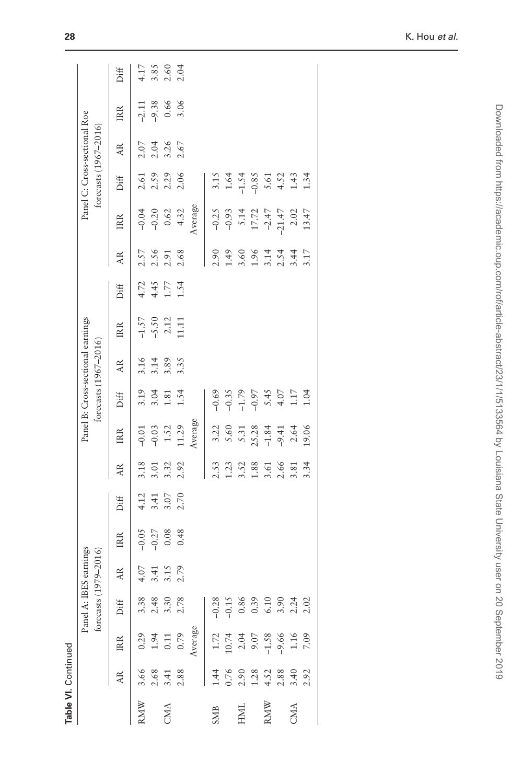|                                  | Table VI. Continued |                                                                                                                          |                                                                                                                                  |                             |                 |                              |                                     |                                                        |                                                                                                 |           |                                              |                                      |                            |                                                                                                          |                                                              |                                                       |                                       |                        |
|----------------------------------|---------------------|--------------------------------------------------------------------------------------------------------------------------|----------------------------------------------------------------------------------------------------------------------------------|-----------------------------|-----------------|------------------------------|-------------------------------------|--------------------------------------------------------|-------------------------------------------------------------------------------------------------|-----------|----------------------------------------------|--------------------------------------|----------------------------|----------------------------------------------------------------------------------------------------------|--------------------------------------------------------------|-------------------------------------------------------|---------------------------------------|------------------------|
|                                  |                     |                                                                                                                          | Panel A: IBES earnings<br>forecasts (1)                                                                                          | $(979 - 2016)$              |                 |                              |                                     |                                                        | Panel B: Cross-sectional earnings<br>forecasts (1967-2016)                                      |           |                                              |                                      |                            |                                                                                                          |                                                              | Panel C: Cross-sectional Roe<br>forecasts (1967-2016) |                                       |                        |
|                                  | AR                  | <b>IRR</b>                                                                                                               | Diff                                                                                                                             | AR                          | <b>IRR</b>      | Diff                         | AR                                  | IRR                                                    | Diff                                                                                            | <b>AR</b> | IRR                                          | Diff                                 | AR                         | IRR                                                                                                      | Diff                                                         | AR.                                                   | IRR                                   | Diff                   |
| <b>RMW</b>                       | 3.66                |                                                                                                                          |                                                                                                                                  |                             |                 |                              | 3.18                                |                                                        |                                                                                                 | 3.16      |                                              |                                      |                            |                                                                                                          |                                                              |                                                       |                                       |                        |
|                                  | 2.68                |                                                                                                                          | $3,38$<br>$2,30$<br>$3,78$<br>$2,78$                                                                                             | $4.379$<br>$3.15$<br>$2.79$ | $-0.05$<br>0.27 | 4.12<br>3.41<br>3.07<br>2.70 | 3.01<br>3.32                        | $-0.01$<br>$-0.03$<br>$1.52$                           | $3.34$<br>$3.34$<br>$1.54$                                                                      | 3.14      | $\frac{-1.57}{-5.50}$<br>$\frac{2.11}{1.11}$ | $4.72$<br>$4.45$<br>$1.54$<br>$1.54$ | $2.57$<br>$2.56$<br>$2.68$ | $-0.30$<br>$-0.20$<br>$0.62$                                                                             | 3.59<br>2.59<br>2.06                                         | 2.07<br>2.04<br>3.267                                 | $-2.11$<br>$-9.38$<br>$-0.66$<br>3.06 | $4.17$<br>3.85<br>2.64 |
| CMA                              | $3.41$<br>$2.88$    |                                                                                                                          |                                                                                                                                  |                             |                 |                              |                                     |                                                        |                                                                                                 | 3.89      |                                              |                                      |                            |                                                                                                          |                                                              |                                                       |                                       |                        |
|                                  |                     |                                                                                                                          |                                                                                                                                  |                             | 0.48            |                              | 2.92                                | 11.29                                                  |                                                                                                 | 3.35      |                                              |                                      |                            | 4.32                                                                                                     |                                                              |                                                       |                                       |                        |
|                                  |                     | $0.29$<br>1.94<br>0.11<br>0.79<br>Average                                                                                |                                                                                                                                  |                             |                 |                              |                                     | Average                                                |                                                                                                 |           |                                              |                                      |                            | Average                                                                                                  |                                                              |                                                       |                                       |                        |
| $\ensuremath{\mathsf{SMB}}$      | 1.44                | $\begin{array}{cccc}\n1.72 \\ 1.0.74 \\ 2.05 \\ 3.07 \\ -9.66 \\ -1.16 \\ -9.66 \\ -1.16 \\ -1.09 \\ -1.16\n\end{array}$ |                                                                                                                                  |                             |                 |                              | 2.53                                |                                                        |                                                                                                 |           |                                              |                                      |                            |                                                                                                          |                                                              |                                                       |                                       |                        |
|                                  | 0.76                |                                                                                                                          |                                                                                                                                  |                             |                 |                              |                                     |                                                        |                                                                                                 |           |                                              |                                      |                            |                                                                                                          |                                                              |                                                       |                                       |                        |
| HML                              | 2.90                |                                                                                                                          |                                                                                                                                  |                             |                 |                              |                                     |                                                        |                                                                                                 |           |                                              |                                      |                            |                                                                                                          |                                                              |                                                       |                                       |                        |
|                                  | 1.28                |                                                                                                                          |                                                                                                                                  |                             |                 |                              |                                     |                                                        |                                                                                                 |           |                                              |                                      |                            |                                                                                                          |                                                              |                                                       |                                       |                        |
| $\mathbb{R}\mathbb{N}\mathbb{W}$ | 4.52                |                                                                                                                          | $-0.38$<br>$-0.38$<br>$-0.39$<br>$-0.39$<br>$-0.39$<br>$-0.39$<br>$-0.39$<br>$-0.39$<br>$-0.39$<br>$-0.39$<br>$-0.39$<br>$-0.39$ |                             |                 |                              | 123<br>3.52<br>3.54<br>3.54<br>3.54 | 3.22<br>5.31<br>5.31<br>5.34<br>5.4 5<br>5.96<br>19.06 | $-0.69$<br>$-0.35$<br>$-1.79$<br>$-1.79$<br>$-1.79$<br>$-1.79$<br>$-1.79$<br>$-1.79$<br>$-1.79$ |           |                                              |                                      |                            | $\begin{array}{cccc}\n 0.25 \\  - & 0.93 \\  - & 5.17 \\  - & 2.47 \\  - & 2.02 \\  13.47\n \end{array}$ | $3.15$<br>$-1.54$<br>$-1.8$<br>$-1.54$<br>$-1.34$<br>$-1.34$ |                                                       |                                       |                        |
|                                  | 2.88                |                                                                                                                          |                                                                                                                                  |                             |                 |                              |                                     |                                                        |                                                                                                 |           |                                              |                                      |                            |                                                                                                          |                                                              |                                                       |                                       |                        |
| CMA                              | 3.40                |                                                                                                                          |                                                                                                                                  |                             |                 |                              |                                     |                                                        |                                                                                                 |           |                                              |                                      |                            |                                                                                                          |                                                              |                                                       |                                       |                        |
|                                  | 2.92                |                                                                                                                          |                                                                                                                                  |                             |                 |                              |                                     |                                                        |                                                                                                 |           |                                              |                                      |                            |                                                                                                          |                                                              |                                                       |                                       |                        |
|                                  |                     |                                                                                                                          |                                                                                                                                  |                             |                 |                              |                                     |                                                        |                                                                                                 |           |                                              |                                      |                            |                                                                                                          |                                                              |                                                       |                                       |                        |

Downloaded from https://academic.oup.com/rof/article-abstract/23/1/1/5133564 by Louisiana State University user on 20 September 2019 Downloaded from https://academic.oup.com/rof/article-abstract/23/1/1/5133564 by Louisiana State University user on 20 September 2019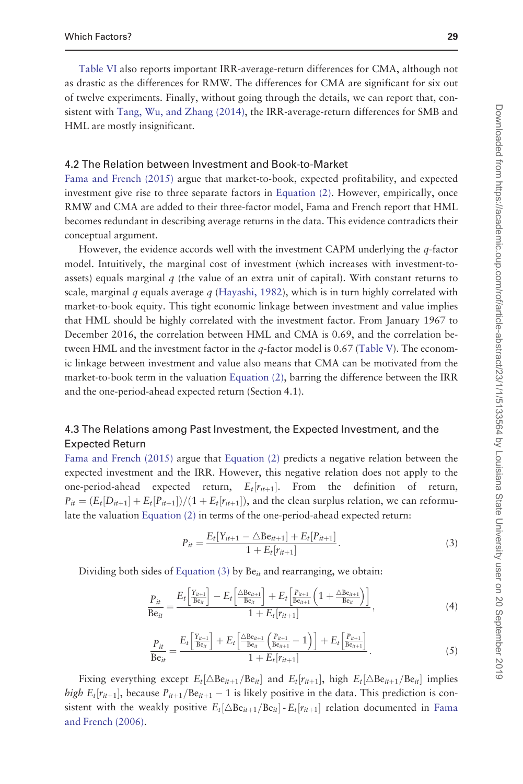[Table VI](#page-26-0) also reports important IRR-average-return differences for CMA, although not as drastic as the differences for RMW. The differences for CMA are significant for six out of twelve experiments. Finally, without going through the details, we can report that, consistent with [Tang, Wu, and Zhang \(2014\)](#page-34-0), the IRR-average-return differences for SMB and HML are mostly insignificant.

#### 4.2 The Relation between Investment and Book-to-Market

[Fama and French \(2015\)](#page-33-0) argue that market-to-book, expected profitability, and expected investment give rise to three separate factors in [Equation \(2\)](#page-24-0). However, empirically, once RMW and CMA are added to their three-factor model, Fama and French report that HML becomes redundant in describing average returns in the data. This evidence contradicts their conceptual argument.

However, the evidence accords well with the investment CAPM underlying the q-factor model. Intuitively, the marginal cost of investment (which increases with investment-toassets) equals marginal  $q$  (the value of an extra unit of capital). With constant returns to scale, marginal q equals average q ([Hayashi, 1982\)](#page-33-0), which is in turn highly correlated with market-to-book equity. This tight economic linkage between investment and value implies that HML should be highly correlated with the investment factor. From January 1967 to December 2016, the correlation between HML and CMA is 0.69, and the correlation between HML and the investment factor in the  $q$ -factor model is 0.67 ([Table V\)](#page-22-0). The economic linkage between investment and value also means that CMA can be motivated from the market-to-book term in the valuation [Equation \(2\)](#page-24-0), barring the difference between the IRR and the one-period-ahead expected return (Section 4.1).

# 4.3 The Relations among Past Investment, the Expected Investment, and the Expected Return

[Fama and French \(2015\)](#page-33-0) argue that [Equation \(2\)](#page-24-0) predicts a negative relation between the expected investment and the IRR. However, this negative relation does not apply to the one-period-ahead expected return,  $E_t[r_{it+1}]$ . From the definition of return,  $P_{it} = (E_t[D_{it+1}] + E_t[P_{it+1}])/(1 + E_t[r_{it+1}])$ , and the clean surplus relation, we can reformulate the valuation [Equation \(2\)](#page-24-0) in terms of the one-period-ahead expected return:

$$
P_{it} = \frac{E_t[Y_{it+1} - \Delta B e_{it+1}] + E_t[P_{it+1}]}{1 + E_t[r_{it+1}]}.
$$
\n(3)

Dividing both sides of Equation (3) by  $Be_{it}$  and rearranging, we obtain:

$$
\frac{P_{it}}{\text{Be}_{it}} = \frac{E_t \left[ \frac{Y_{it+1}}{\text{Be}_{it}} \right] - E_t \left[ \frac{\Delta \text{Be}_{it+1}}{\text{Be}_{it}} \right] + E_t \left[ \frac{P_{it+1}}{\text{Be}_{it+1}} \left( 1 + \frac{\Delta \text{Be}_{it+1}}{\text{Be}_{it}} \right) \right]}{1 + E_t \left[ r_{it+1} \right]},
$$
(4)

$$
\frac{P_{it}}{\text{Be}_{it}} = \frac{E_t \left[ \frac{Y_{it+1}}{\text{Be}_{it}} \right] + E_t \left[ \frac{\Delta \text{Be}_{it+1}}{\text{Be}_{it}} \left( \frac{P_{it+1}}{\text{Be}_{it+1}} - 1 \right) \right] + E_t \left[ \frac{P_{it+1}}{\text{Be}_{it+1}} \right]}{1 + E_t \left[ r_{it+1} \right]}.
$$
\n(5)

Fixing everything except  $E_t[\Delta B e_{it+1}/B e_{it}]$  and  $E_t[r_{it+1}]$ , high  $E_t[\Delta B e_{it+1}/B e_{it}]$  implies *high*  $E_t[r_{it+1}]$ , because  $P_{it+1}/Be_{it+1} - 1$  is likely positive in the data. This prediction is consistent with the weakly positive  $E_t[\triangle B \mathbf{e}_{it+1}/B \mathbf{e}_{it}]$  -  $E_t[r_{it+1}]$  relation documented in [Fama](#page-33-0) [and French \(2006\).](#page-33-0)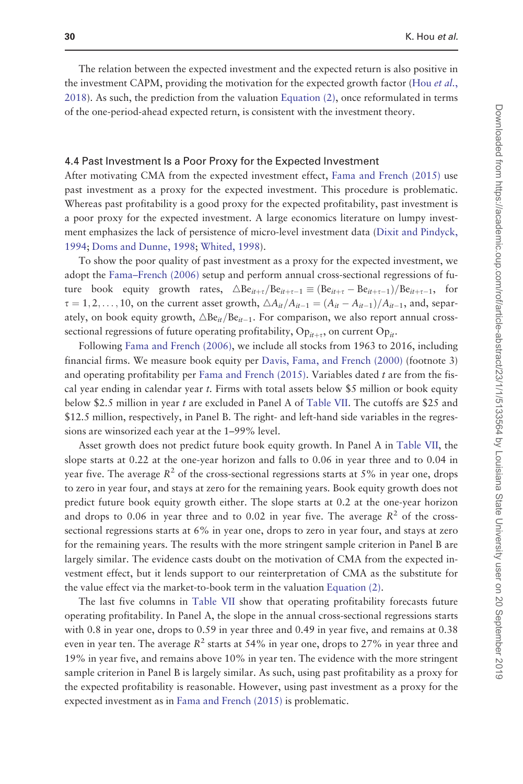The relation between the expected investment and the expected return is also positive in the investment CAPM, providing the motivation for the expected growth factor (Hou [et al.](#page-33-0), [2018](#page-33-0)). As such, the prediction from the valuation [Equation \(2\),](#page-24-0) once reformulated in terms of the one-period-ahead expected return, is consistent with the investment theory.

#### 4.4 Past Investment Is a Poor Proxy for the Expected Investment

After motivating CMA from the expected investment effect, [Fama and French \(2015\)](#page-33-0) use past investment as a proxy for the expected investment. This procedure is problematic. Whereas past profitability is a good proxy for the expected profitability, past investment is a poor proxy for the expected investment. A large economics literature on lumpy investment emphasizes the lack of persistence of micro-level investment data ([Dixit and Pindyck,](#page-33-0) [1994](#page-33-0); [Doms and Dunne, 1998](#page-33-0); [Whited, 1998\)](#page-34-0).

To show the poor quality of past investment as a proxy for the expected investment, we adopt the [Fama–French \(2006\)](#page-33-0) setup and perform annual cross-sectional regressions of future book equity growth rates,  $\triangle Be_{it+\tau}/Be_{it+\tau-1} \equiv (Be_{it+\tau}-Be_{it+\tau-1})/Be_{it+\tau-1}$ , for  $\tau = 1, 2, \ldots, 10$ , on the current asset growth,  $\Delta A_{it}/A_{it-1} = (A_{it} - A_{it-1})/A_{it-1}$ , and, separately, on book equity growth,  $\triangle Be_{it}/Be_{it-1}$ . For comparison, we also report annual crosssectional regressions of future operating profitability,  $Op_{it+1}$ , on current  $Op_{it}$ .

Following [Fama and French \(2006\)](#page-33-0), we include all stocks from 1963 to 2016, including financial firms. We measure book equity per [Davis, Fama, and French \(2000\)](#page-33-0) (footnote 3) and operating profitability per Fama and French  $(2015)$ . Variables dated t are from the fiscal year ending in calendar year t. Firms with total assets below \$5 million or book equity below \$2.5 million in year t are excluded in Panel A of [Table VII.](#page-30-0) The cutoffs are \$25 and \$12.5 million, respectively, in Panel B. The right- and left-hand side variables in the regressions are winsorized each year at the 1–99% level.

Asset growth does not predict future book equity growth. In Panel A in [Table VII](#page-30-0), the slope starts at 0.22 at the one-year horizon and falls to 0.06 in year three and to 0.04 in year five. The average  $R^2$  of the cross-sectional regressions starts at 5% in year one, drops to zero in year four, and stays at zero for the remaining years. Book equity growth does not predict future book equity growth either. The slope starts at 0.2 at the one-year horizon and drops to 0.06 in year three and to 0.02 in year five. The average  $R^2$  of the crosssectional regressions starts at 6% in year one, drops to zero in year four, and stays at zero for the remaining years. The results with the more stringent sample criterion in Panel B are largely similar. The evidence casts doubt on the motivation of CMA from the expected investment effect, but it lends support to our reinterpretation of CMA as the substitute for the value effect via the market-to-book term in the valuation [Equation \(2\)](#page-24-0).

The last five columns in [Table VII](#page-30-0) show that operating profitability forecasts future operating profitability. In Panel A, the slope in the annual cross-sectional regressions starts with 0.8 in year one, drops to 0.59 in year three and 0.49 in year five, and remains at 0.38 even in year ten. The average  $R^2$  starts at 54% in year one, drops to 27% in year three and 19% in year five, and remains above 10% in year ten. The evidence with the more stringent sample criterion in Panel B is largely similar. As such, using past profitability as a proxy for the expected profitability is reasonable. However, using past investment as a proxy for the expected investment as in [Fama and French \(2015\)](#page-33-0) is problematic.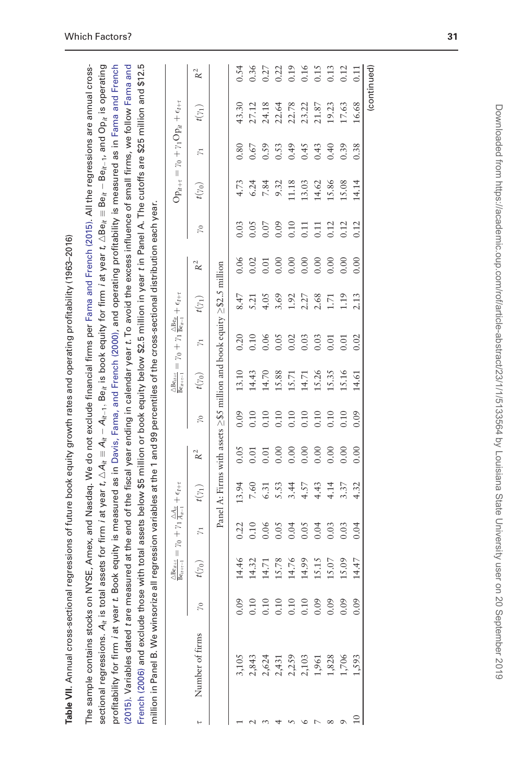| J           |
|-------------|
|             |
| j<br>I      |
|             |
|             |
|             |
|             |
|             |
|             |
|             |
|             |
|             |
|             |
| i           |
| í           |
|             |
|             |
|             |
|             |
| ׇ֚֘         |
| )<br>]<br>Ś |
|             |
|             |
|             |
|             |
| 3           |
| i<br>Second |
|             |
|             |
|             |
|             |
|             |
|             |
|             |
|             |
|             |
|             |
|             |
|             |
|             |
|             |
|             |
|             |
|             |
|             |
|             |
|             |
|             |
| j           |
| ¢           |
|             |
|             |
|             |
|             |
|             |
|             |
| 3           |
|             |
|             |
|             |
| i           |
|             |
|             |
|             |
| i           |
|             |
|             |
|             |
| ļ           |
| S           |
|             |
|             |
| $\equiv$    |
|             |
|             |
| labi        |
|             |
| I           |

<span id="page-30-0"></span>French (2006) and exclude those with total assets below \$5 million or book equity below \$2.5 million in year t in Panel A. The cutoffs are \$25 million and \$12.5 The sample contains stocks on NYSE, Amex, and Nasdaq. We do not exclude financial firms per Fama and French (2015). All the regressions are annual cross-(2015). Variables dated tare measured at the end of the fiscal year ending in calendar year t. To avoid the excess influence of small firms, we follow Fama and The sample contains stocks on NYSE, Amex, and Nasdaq. We do not exclude financial firms per Fama and French [\(2015\)](#page-33-0). All the regressions are annual crossprofitability for firm *i* at year t. Book equity is measured as in Davis, Fama, and French (2000), and operating profitability is measured as in Fama and French [French](#page-33-0) (2006) and exclude those with total assets below \$5 million or book equity below \$2.5 million in year t in Panel A. The cutoffs are \$25 million and \$12.5  $_1$ , and  $\mathsf{Op}_{it}$  is operating profitability for firm i at year t. Book equity is measured as in Davis, Fama, and French [\(2000\)](#page-33-0), and operating profitability is measured as in Fama and [French](#page-33-0) [\(2015\)](#page-33-0). Variables dated t are measured at the end of the fiscal year ending in calendar year t. To avoid the excess influence of small firms, we follow [Fama](#page-33-0) and  $-$  Be $_{it-}$  $\mathsf{Be}_{it} \equiv \mathsf{Be}_{it}$  million in Panel B. We winsorize all regression variables at the 1 and 99 percentiles of the cross-sectional distribution each year. million in Panel B. We winsorize all regression variables at the 1 and 99 percentiles of the cross-sectional distribution each year.  $_1$ . Be $_i$  is book equity for firm *i* at year  $t_i$   $\triangle$  $-\mathcal{A}_{it}$  ${\cal A}_{it} \equiv {\cal A}_{it}$   $$ sectional regressions.  $A_{it}$  is total assets for firm *i* at year  $t, \triangle$ 

|                                                             |                            | $\frac{\Delta \textrm{Be}_{tt+\epsilon}}{\textrm{Be}_{tt+\epsilon-1}}$ | $= \gamma_0 + \gamma_1 \frac{\triangle A_{it}}{A_{it-1}} + \epsilon_{t+\tau}$ |                                                                    |       |           | $\frac{\triangle\text{Be}_{i t + \tau}}{\text{Be}_{i t + \tau-1}}$                 | $= \gamma_0 + \gamma_1 \frac{\triangle \text{Be}_{it}}{\text{Be}_{it-1}}$ | $+$ $\epsilon_{t+\tau}$ |       |                                        |                                                                       | $\text{Op}_{it+\tau} = \gamma_0 + \gamma_1 \text{Op}_{it} + \epsilon_{t+\tau}$ |                                                                                                                                                                                                                                                                                                         |             |
|-------------------------------------------------------------|----------------------------|------------------------------------------------------------------------|-------------------------------------------------------------------------------|--------------------------------------------------------------------|-------|-----------|------------------------------------------------------------------------------------|---------------------------------------------------------------------------|-------------------------|-------|----------------------------------------|-----------------------------------------------------------------------|--------------------------------------------------------------------------------|---------------------------------------------------------------------------------------------------------------------------------------------------------------------------------------------------------------------------------------------------------------------------------------------------------|-------------|
| Number of firms                                             | $\approx$                  | $t(\gamma_0)$                                                          | $\bar{\gamma}$                                                                | $t(\gamma_1)$                                                      | $R^2$ | $\approx$ | $t(\gamma_0)$                                                                      | A                                                                         | $t(\gamma_1)$           | $R^2$ | 20                                     | $t(\gamma_0)$                                                         | Α                                                                              | $t(\gamma_1)$                                                                                                                                                                                                                                                                                           | $R^2$       |
|                                                             |                            |                                                                        |                                                                               |                                                                    |       |           | Panel A: Firms with assets $\geq$ \$5 million and book equity $\geq$ \$2.5 million |                                                                           |                         |       |                                        |                                                                       |                                                                                |                                                                                                                                                                                                                                                                                                         |             |
|                                                             | 0.09                       |                                                                        | 0.22                                                                          | 13.94                                                              | 0.05  | 0.09      | 13.10                                                                              | 0.20                                                                      |                         | 0.06  | 0.03                                   |                                                                       | 0.80                                                                           | 43.30                                                                                                                                                                                                                                                                                                   | 0.54        |
|                                                             | 0.10                       | 14.46<br>14.32<br>14.71                                                | 0.10                                                                          |                                                                    |       |           | 14.43                                                                              |                                                                           |                         | 0.02  | 0.05                                   | $7,74$<br>$7,84$<br>$8,32$<br>$9,32$<br>$11,36$<br>$15,86$<br>$15,86$ | 0.67                                                                           |                                                                                                                                                                                                                                                                                                         |             |
|                                                             | $0.10$<br>$0.10$<br>$0.10$ |                                                                        |                                                                               |                                                                    |       |           | 14.70                                                                              |                                                                           |                         | 0.01  |                                        |                                                                       | 0.59                                                                           |                                                                                                                                                                                                                                                                                                         |             |
|                                                             |                            |                                                                        |                                                                               |                                                                    |       |           |                                                                                    |                                                                           |                         | 0.00  |                                        |                                                                       |                                                                                |                                                                                                                                                                                                                                                                                                         |             |
|                                                             |                            |                                                                        |                                                                               |                                                                    |       |           |                                                                                    |                                                                           |                         |       |                                        |                                                                       |                                                                                |                                                                                                                                                                                                                                                                                                         |             |
|                                                             | $0.10$<br>$0.09$<br>$0.09$ |                                                                        |                                                                               |                                                                    |       |           | 15.88<br>15.71<br>14.71<br>15.26<br>15.35                                          |                                                                           |                         |       | $0.07$<br>0.00<br>0.11<br>0.11<br>0.11 |                                                                       | $0.53$<br>$0.45$<br>$0.43$<br>$0.40$                                           |                                                                                                                                                                                                                                                                                                         |             |
|                                                             |                            |                                                                        |                                                                               |                                                                    |       |           |                                                                                    |                                                                           |                         |       |                                        |                                                                       |                                                                                |                                                                                                                                                                                                                                                                                                         |             |
| 3,105<br>2,843<br>2,624<br>2,259<br>1,828<br>1,706<br>1,706 |                            | 15.78<br>14.76<br>14.99<br>15.07<br>15.07                              | 0.03                                                                          | $7.60$<br>$6.51$<br>$7.51$<br>$7.51$<br>$4.41$<br>$4.57$<br>$4.57$ |       |           |                                                                                    |                                                                           |                         |       | 0.12                                   |                                                                       |                                                                                | $\begin{array}{l} 27.12 \\ 27.48 \\ 21.64 \\ 21.78 \\ 22.78 \\ 23.22 \\ 24.5 \\ 25.78 \\ 27.63 \\ 28.73 \\ 29.63 \\ 21.763 \\ 22.87 \\ 23.33 \\ 24.33 \\ 25.83 \\ 26.3 \\ 27.63 \\ 28.3 \\ 29.3 \\ 20.3 \\ 21.8 \\ 23.3 \\ 24.3 \\ 25.8 \\ 26.3 \\ 27.63 \\ 28.3 \\ 29.3 \\ 29.3 \\ 20.3 \\ 21.4 \\ 22$ |             |
|                                                             | 0.09                       |                                                                        | 0.03                                                                          |                                                                    |       |           | 15.16                                                                              | 0.01                                                                      | 1.19                    | 0.00  | 0.12                                   | 15.08                                                                 | 0.39                                                                           |                                                                                                                                                                                                                                                                                                         |             |
| 593                                                         |                            | 14.47                                                                  | 0.04                                                                          | 4.32                                                               | 0.00  | 0.09      | 14.61                                                                              | 0.02                                                                      | 2.13                    | 0.00  | 0.12                                   | 14.14                                                                 | 0.38                                                                           | 16.68                                                                                                                                                                                                                                                                                                   | 0.11        |
|                                                             |                            |                                                                        |                                                                               |                                                                    |       |           |                                                                                    |                                                                           |                         |       |                                        |                                                                       |                                                                                |                                                                                                                                                                                                                                                                                                         | (continued) |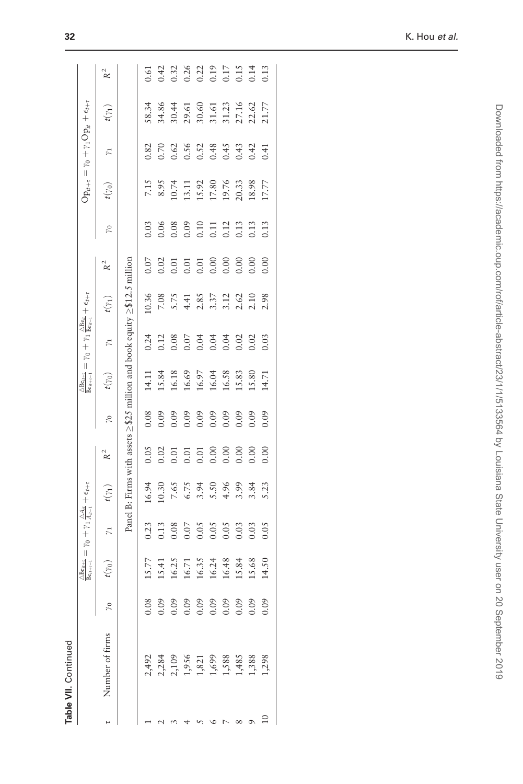| ŕ  |
|----|
|    |
| r. |

|                                                             |                                               | $\Delta \mathrm{Be}_{it+\epsilon}$<br>$Be_{it+t-1}$                                             | $= 70 + 71$                  | $+$ $\epsilon_{t+\tau}$                                                              |                                                 |                                                 | II<br>$\frac{\Delta \text{Be}_{i t + \tau}}{\text{Be}_{i t + \tau - 1}}$ | $\frac{+}{2}$                                      |                                                                                                                                                                                                                                                                                                                       |       |      |                                                                                      | $\text{Op}_{it+\tau} = \gamma_0 + \gamma_1 \text{Op}_{it} + \epsilon_{t+\tau}$ |               |           |
|-------------------------------------------------------------|-----------------------------------------------|-------------------------------------------------------------------------------------------------|------------------------------|--------------------------------------------------------------------------------------|-------------------------------------------------|-------------------------------------------------|--------------------------------------------------------------------------|----------------------------------------------------|-----------------------------------------------------------------------------------------------------------------------------------------------------------------------------------------------------------------------------------------------------------------------------------------------------------------------|-------|------|--------------------------------------------------------------------------------------|--------------------------------------------------------------------------------|---------------|-----------|
| Number of firms                                             | $\frac{1}{2}$                                 | $t(\gamma_0)$                                                                                   | $\bar{\gamma}$               | $t(\gamma_1)$                                                                        | $R^2$                                           | $\approx$                                       | $t(\gamma_0)$                                                            | A                                                  | $t(\gamma_1)$                                                                                                                                                                                                                                                                                                         | $R^2$ | 2    | $t(\gamma_0)$                                                                        | $\frac{1}{2}$                                                                  | $t(\gamma_1)$ | $\rm R^2$ |
|                                                             |                                               |                                                                                                 |                              | Panel B: Firms with assets $\geq$ \$25 million and book equity $\geq$ \$12.5 million |                                                 |                                                 |                                                                          |                                                    |                                                                                                                                                                                                                                                                                                                       |       |      |                                                                                      |                                                                                |               |           |
|                                                             |                                               |                                                                                                 | 0.23                         | 16.94                                                                                |                                                 |                                                 | 14.11                                                                    |                                                    | 10.36                                                                                                                                                                                                                                                                                                                 | 0.07  | 0.03 |                                                                                      | 0.82                                                                           |               |           |
| 2,492<br>2,284<br>2,109<br>1,821<br>1,388<br>1,388<br>1,388 | 8<br>8 8 8 8 8 8 8 8 8 9<br>9 8 8 8 9 8 8 8 9 | $15.77$<br>$15.41$<br>$16.71$<br>$16.35$<br>$16.48$<br>$16.48$<br>$16.48$<br>$15.68$<br>$15.60$ | 0.13                         | 10.30                                                                                | 8<br>8 8 5 5 5 8 8 8 8 8<br>6 8 6 6 6 6 6 6 6 8 | 8<br>8 8 8 8 8 8 8 8 8 9<br>8 8 8 8 8 8 8 8 9 8 | 15.84<br>16.18<br>16.07<br>16.58<br>16.58<br>15.80<br>15.80              | 4 1 2 3 5 4 4 5 6 9 9 9<br>0 0 0 0 0 0 0 0 0 0 0 0 |                                                                                                                                                                                                                                                                                                                       | 0.02  |      | 7.15<br>8.95<br>10.74                                                                | $\begin{array}{c} 0.04884444 \\ 0.0000000000 \\ 0.0000000000 \\ \end{array}$   |               |           |
|                                                             |                                               |                                                                                                 | 0.08                         | 7.65                                                                                 |                                                 |                                                 |                                                                          |                                                    | $7.5$ $\frac{8}{3}$ $\frac{5}{3}$ $\frac{1}{3}$ $\frac{3}{3}$ $\frac{5}{3}$ $\frac{1}{3}$ $\frac{3}{4}$ $\frac{3}{4}$ $\frac{5}{3}$ $\frac{1}{3}$ $\frac{3}{4}$ $\frac{3}{4}$ $\frac{5}{4}$ $\frac{1}{3}$ $\frac{3}{4}$ $\frac{3}{4}$ $\frac{3}{4}$ $\frac{3}{4}$ $\frac{3}{4}$ $\frac{3}{4}$ $\frac{3}{4}$ $\frac{3$ | 0.01  |      |                                                                                      |                                                                                |               |           |
|                                                             |                                               |                                                                                                 | 0.05<br>0.05<br>0.05<br>0.00 |                                                                                      |                                                 |                                                 |                                                                          |                                                    |                                                                                                                                                                                                                                                                                                                       | 0.01  |      | $\begin{array}{l} 13.11\\ 15.92\\ 17.80\\ 19.76\\ 20.33\\ 18.98\\ 17.77 \end{array}$ |                                                                                |               |           |
|                                                             |                                               |                                                                                                 |                              |                                                                                      |                                                 |                                                 |                                                                          |                                                    |                                                                                                                                                                                                                                                                                                                       |       |      |                                                                                      |                                                                                |               |           |
|                                                             |                                               |                                                                                                 |                              |                                                                                      |                                                 |                                                 |                                                                          |                                                    |                                                                                                                                                                                                                                                                                                                       |       |      |                                                                                      |                                                                                |               |           |
|                                                             |                                               |                                                                                                 |                              |                                                                                      |                                                 |                                                 |                                                                          |                                                    |                                                                                                                                                                                                                                                                                                                       |       |      |                                                                                      |                                                                                |               |           |
|                                                             |                                               |                                                                                                 |                              |                                                                                      |                                                 |                                                 |                                                                          |                                                    |                                                                                                                                                                                                                                                                                                                       |       |      |                                                                                      |                                                                                |               |           |
|                                                             |                                               |                                                                                                 | 0.03                         |                                                                                      |                                                 |                                                 |                                                                          |                                                    |                                                                                                                                                                                                                                                                                                                       |       |      |                                                                                      |                                                                                |               |           |
| 1,298                                                       |                                               |                                                                                                 |                              |                                                                                      |                                                 |                                                 |                                                                          |                                                    |                                                                                                                                                                                                                                                                                                                       |       |      |                                                                                      |                                                                                |               |           |
|                                                             |                                               |                                                                                                 |                              |                                                                                      |                                                 |                                                 |                                                                          |                                                    |                                                                                                                                                                                                                                                                                                                       |       |      |                                                                                      |                                                                                |               |           |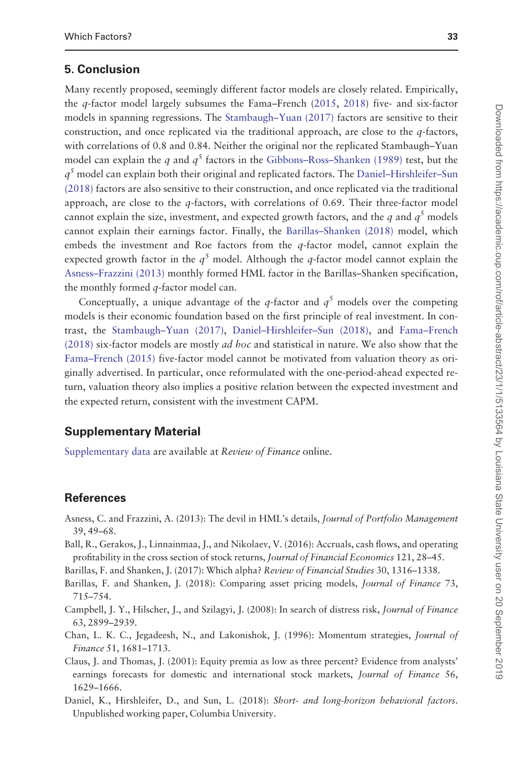# <span id="page-32-0"></span>5. Conclusion

Many recently proposed, seemingly different factor models are closely related. Empirically, the q-factor model largely subsumes the Fama–French ([2015,](#page-33-0) [2018](#page-33-0)) five- and six-factor models in spanning regressions. The [Stambaugh–Yuan \(2017\)](#page-34-0) factors are sensitive to their construction, and once replicated via the traditional approach, are close to the  $q$ -factors, with correlations of 0.8 and 0.84. Neither the original nor the replicated Stambaugh–Yuan model can explain the q and  $q^5$  factors in the [Gibbons–Ross–Shanken \(1989\)](#page-33-0) test, but the  $q<sup>5</sup>$  model can explain both their original and replicated factors. The Daniel–Hirshleifer–Sun (2018) factors are also sensitive to their construction, and once replicated via the traditional approach, are close to the  $q$ -factors, with correlations of 0.69. Their three-factor model cannot explain the size, investment, and expected growth factors, and the q and  $q<sup>5</sup>$  models cannot explain their earnings factor. Finally, the Barillas–Shanken (2018) model, which embeds the investment and Roe factors from the  $q$ -factor model, cannot explain the expected growth factor in the  $q^5$  model. Although the q-factor model cannot explain the Asness–Frazzini (2013) monthly formed HML factor in the Barillas–Shanken specification, the monthly formed  $q$ -factor model can.

Conceptually, a unique advantage of the q-factor and  $q^5$  models over the competing models is their economic foundation based on the first principle of real investment. In contrast, the [Stambaugh–Yuan \(2017\)](#page-34-0), Daniel–Hirshleifer–Sun (2018), and [Fama–French](#page-33-0)  $(2018)$  six-factor models are mostly *ad hoc* and statistical in nature. We also show that the [Fama–French \(2015\)](#page-33-0) five-factor model cannot be motivated from valuation theory as originally advertised. In particular, once reformulated with the one-period-ahead expected return, valuation theory also implies a positive relation between the expected investment and the expected return, consistent with the investment CAPM.

# Supplementary Material

[Supplementary data](https://academic.oup.com/rof/article-lookup/doi/10.1093/rof/rfy032#supplementary-data) are available at Review of Finance online.

#### **References**

- Asness, C. and Frazzini, A. (2013): The devil in HML's details, Journal of Portfolio Management 39, 49–68.
- Ball, R., Gerakos, J., Linnainmaa, J., and Nikolaev, V. (2016): Accruals, cash flows, and operating profitability in the cross section of stock returns, Journal of Financial Economics 121, 28–45.
- Barillas, F. and Shanken, J. (2017): Which alpha? Review of Financial Studies 30, 1316–1338.
- Barillas, F. and Shanken, J. (2018): Comparing asset pricing models, Journal of Finance 73, 715–754.
- Campbell, J. Y., Hilscher, J., and Szilagyi, J. (2008): In search of distress risk, Journal of Finance 63, 2899–2939.
- Chan, L. K. C., Jegadeesh, N., and Lakonishok, J. (1996): Momentum strategies, Journal of Finance 51, 1681–1713.
- Claus, J. and Thomas, J. (2001): Equity premia as low as three percent? Evidence from analysts' earnings forecasts for domestic and international stock markets, Journal of Finance 56, 1629–1666.
- Daniel, K., Hirshleifer, D., and Sun, L. (2018): Short- and long-horizon behavioral factors. Unpublished working paper, Columbia University.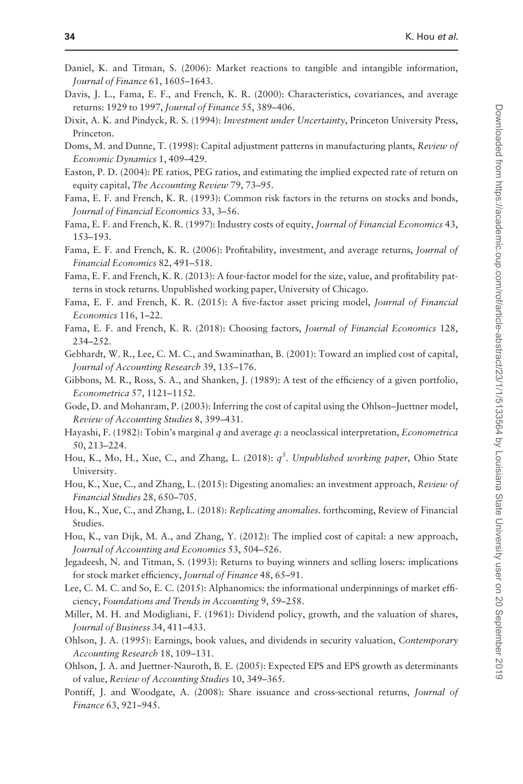- <span id="page-33-0"></span>Daniel, K. and Titman, S. (2006): Market reactions to tangible and intangible information, Journal of Finance 61, 1605–1643.
- Davis, J. L., Fama, E. F., and French, K. R. (2000): Characteristics, covariances, and average returns: 1929 to 1997, Journal of Finance 55, 389–406.
- Dixit, A. K. and Pindyck, R. S. (1994): Investment under Uncertainty, Princeton University Press, Princeton.
- Doms, M. and Dunne, T. (1998): Capital adjustment patterns in manufacturing plants, Review of Economic Dynamics 1, 409–429.
- Easton, P. D. (2004): PE ratios, PEG ratios, and estimating the implied expected rate of return on equity capital, The Accounting Review 79, 73–95.
- Fama, E. F. and French, K. R. (1993): Common risk factors in the returns on stocks and bonds, Journal of Financial Economics 33, 3–56.
- Fama, E. F. and French, K. R. (1997): Industry costs of equity, Journal of Financial Economics 43, 153–193.
- Fama, E. F. and French, K. R. (2006): Profitability, investment, and average returns, Journal of Financial Economics 82, 491–518.
- Fama, E. F. and French, K. R. (2013): A four-factor model for the size, value, and profitability patterns in stock returns. Unpublished working paper, University of Chicago.
- Fama, E. F. and French, K. R. (2015): A five-factor asset pricing model, *Journal of Financial* Economics 116, 1–22.
- Fama, E. F. and French, K. R. (2018): Choosing factors, Journal of Financial Economics 128, 234–252.
- Gebhardt, W. R., Lee, C. M. C., and Swaminathan, B. (2001): Toward an implied cost of capital, Journal of Accounting Research 39, 135–176.
- Gibbons, M. R., Ross, S. A., and Shanken, J. (1989): A test of the efficiency of a given portfolio, Econometrica 57, 1121–1152.
- Gode, D. and Mohanram, P. (2003): Inferring the cost of capital using the Ohlson–Juettner model, Review of Accounting Studies 8, 399–431.
- Hayashi, F. (1982): Tobin's marginal  $q$  and average  $q$ : a neoclassical interpretation, *Econometrica* 50, 213–224.
- Hou, K., Mo, H., Xue, C., and Zhang, L. (2018):  $q^5$ . Unpublished working paper, Ohio State University.
- Hou, K., Xue, C., and Zhang, L. (2015): Digesting anomalies: an investment approach, Review of Financial Studies 28, 650–705.
- Hou, K., Xue, C., and Zhang, L. (2018): Replicating anomalies. forthcoming, Review of Financial Studies.
- Hou, K., van Dijk, M. A., and Zhang, Y. (2012): The implied cost of capital: a new approach, Journal of Accounting and Economics 53, 504–526.
- Jegadeesh, N. and Titman, S. (1993): Returns to buying winners and selling losers: implications for stock market efficiency, Journal of Finance 48, 65–91.
- Lee, C. M. C. and So, E. C. (2015): Alphanomics: the informational underpinnings of market efficiency, Foundations and Trends in Accounting 9, 59–258.
- Miller, M. H. and Modigliani, F. (1961): Dividend policy, growth, and the valuation of shares, Journal of Business 34, 411–433.
- Ohlson, J. A. (1995): Earnings, book values, and dividends in security valuation, Contemporary Accounting Research 18, 109–131.
- Ohlson, J. A. and Juettner-Nauroth, B. E. (2005): Expected EPS and EPS growth as determinants of value, Review of Accounting Studies 10, 349–365.
- Pontiff, J. and Woodgate, A. (2008): Share issuance and cross-sectional returns, Journal of Finance 63, 921–945.